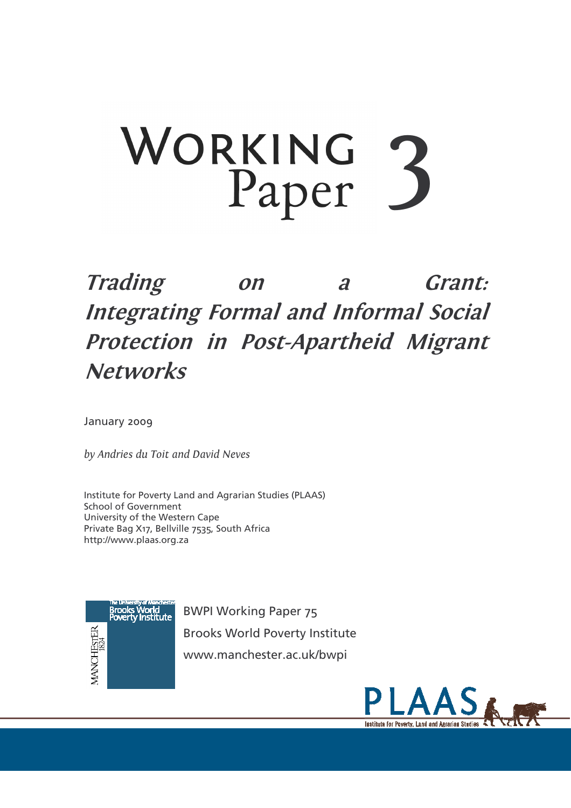## WORKING 3 Paper

## **Trading** Grant:  $\boldsymbol{a}$  $on$ **Integrating Formal and Informal Social** Protection in Post-Apartheid Migrant **Networks**

January 2009

by Andries du Toit and David Neves

Institute for Poverty Land and Agrarian Studies (PLAAS) **School of Government** University of the Western Cape Private Bag X17, Bellville 7535, South Africa http://www.plaas.org.za



**BWPI Working Paper 75 Brooks World Poverty Institute** www.manchester.ac.uk/bwpi

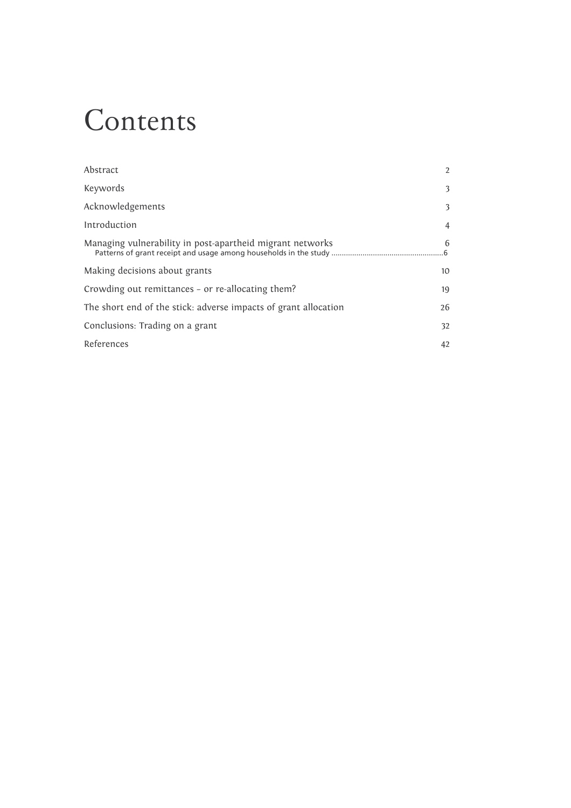## Contents

| $\overline{2}$ |
|----------------|
| 3              |
| 3              |
| $\overline{4}$ |
| 6              |
| 10             |
| 19             |
| 26             |
| 32             |
| 42             |
|                |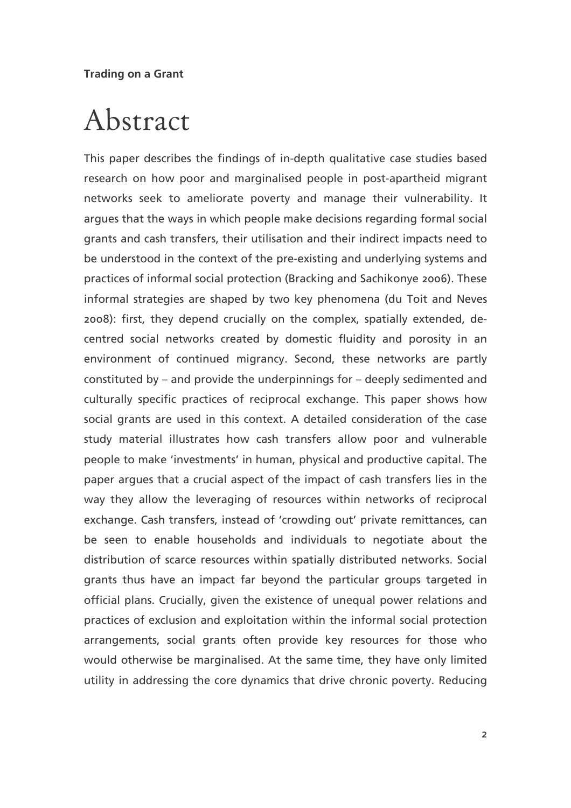## Abstract

This paper describes the findings of in-depth qualitative case studies based research on how poor and marginalised people in post-apartheid migrant networks seek to ameliorate poverty and manage their vulnerability. It argues that the ways in which people make decisions regarding formal social grants and cash transfers, their utilisation and their indirect impacts need to be understood in the context of the pre-existing and underlying systems and practices of informal social protection (Bracking and Sachikonye 2006). These informal strategies are shaped by two key phenomena (du Toit and Neves 2008): first, they depend crucially on the complex, spatially extended, decentred social networks created by domestic fluidity and porosity in an environment of continued migrancy. Second, these networks are partly constituted by – and provide the underpinnings for – deeply sedimented and culturally specific practices of reciprocal exchange. This paper shows how social grants are used in this context. A detailed consideration of the case study material illustrates how cash transfers allow poor and vulnerable people to make 'investments' in human, physical and productive capital. The paper argues that a crucial aspect of the impact of cash transfers lies in the way they allow the leveraging of resources within networks of reciprocal exchange. Cash transfers, instead of 'crowding out' private remittances, can be seen to enable households and individuals to negotiate about the distribution of scarce resources within spatially distributed networks. Social grants thus have an impact far beyond the particular groups targeted in official plans. Crucially, given the existence of unequal power relations and practices of exclusion and exploitation within the informal social protection arrangements, social grants often provide key resources for those who would otherwise be marginalised. At the same time, they have only limited utility in addressing the core dynamics that drive chronic poverty. Reducing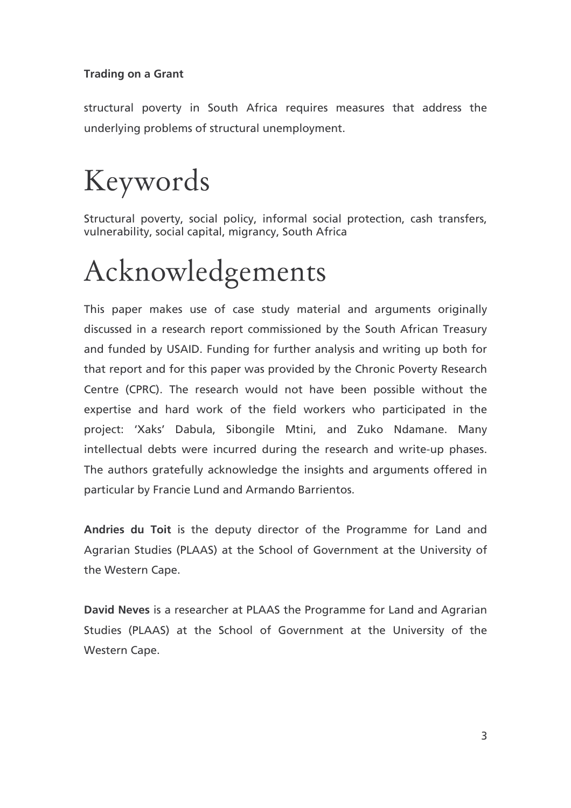structural poverty in South Africa requires measures that address the underlying problems of structural unemployment.

# Keywords

Structural poverty, social policy, informal social protection, cash transfers, vulnerability, social capital, migrancy, South Africa

# Acknowledgements

This paper makes use of case study material and arguments originally discussed in a research report commissioned by the South African Treasury and funded by USAID. Funding for further analysis and writing up both for that report and for this paper was provided by the Chronic Poverty Research Centre (CPRC). The research would not have been possible without the expertise and hard work of the field workers who participated in the project: 'Xaks' Dabula, Sibongile Mtini, and Zuko Ndamane. Many intellectual debts were incurred during the research and write-up phases. The authors gratefully acknowledge the insights and arguments offered in particular by Francie Lund and Armando Barrientos.

Andries du Toit is the deputy director of the Programme for Land and Agrarian Studies (PLAAS) at the School of Government at the University of the Western Cape.

David Neves is a researcher at PLAAS the Programme for Land and Agrarian Studies (PLAAS) at the School of Government at the University of the Western Cape.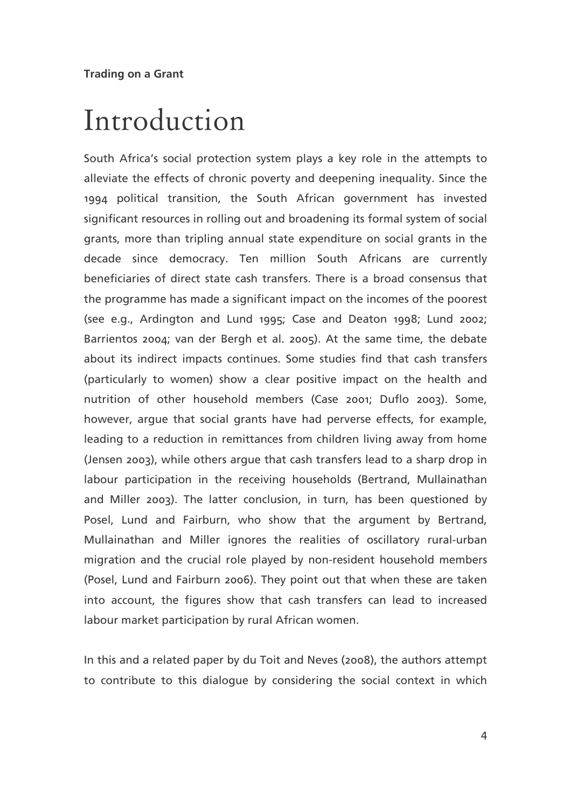## Introduction

South Africa's social protection system plays a key role in the attempts to alleviate the effects of chronic poverty and deepening inequality. Since the 1994 political transition, the South African government has invested significant resources in rolling out and broadening its formal system of social grants, more than tripling annual state expenditure on social grants in the decade since democracy. Ten million South Africans are currently beneficiaries of direct state cash transfers. There is a broad consensus that the programme has made a significant impact on the incomes of the poorest (see e.g., Ardington and Lund 1995; Case and Deaton 1998; Lund 2002; Barrientos 2004; van der Bergh et al. 2005). At the same time, the debate about its indirect impacts continues. Some studies find that cash transfers (particularly to women) show a clear positive impact on the health and nutrition of other household members (Case 2001; Duflo 2003). Some, however, argue that social grants have had perverse effects, for example, leading to a reduction in remittances from children living away from home (Jensen 2003), while others argue that cash transfers lead to a sharp drop in labour participation in the receiving households (Bertrand, Mullainathan and Miller 2003). The latter conclusion, in turn, has been questioned by Posel, Lund and Fairburn, who show that the argument by Bertrand, Mullainathan and Miller ignores the realities of oscillatory rural-urban migration and the crucial role played by non-resident household members (Posel, Lund and Fairburn 2006). They point out that when these are taken into account, the figures show that cash transfers can lead to increased labour market participation by rural African women.

In this and a related paper by du Toit and Neves (2008), the authors attempt to contribute to this dialogue by considering the social context in which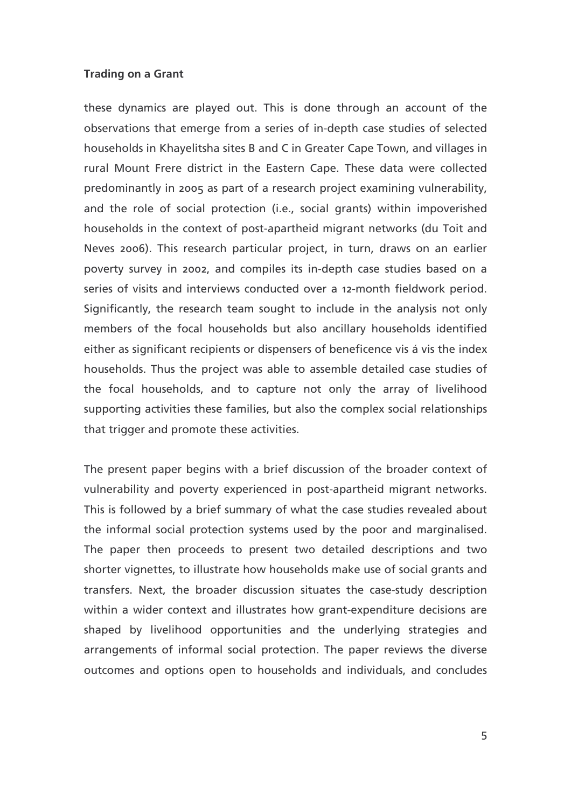these dynamics are played out. This is done through an account of the observations that emerge from a series of in-depth case studies of selected households in Khayelitsha sites B and C in Greater Cape Town, and villages in rural Mount Frere district in the Eastern Cape. These data were collected predominantly in 2005 as part of a research project examining vulnerability, and the role of social protection (i.e., social grants) within impoverished households in the context of post-apartheid migrant networks (du Toit and Neves 2006). This research particular project, in turn, draws on an earlier poverty survey in 2002, and compiles its in-depth case studies based on a series of visits and interviews conducted over a 12-month fieldwork period. Significantly, the research team sought to include in the analysis not only members of the focal households but also ancillary households identified either as significant recipients or dispensers of beneficence vis á vis the index households. Thus the project was able to assemble detailed case studies of the focal households, and to capture not only the array of livelihood supporting activities these families, but also the complex social relationships that trigger and promote these activities.

The present paper begins with a brief discussion of the broader context of vulnerability and poverty experienced in post-apartheid migrant networks. This is followed by a brief summary of what the case studies revealed about the informal social protection systems used by the poor and marginalised. The paper then proceeds to present two detailed descriptions and two shorter vignettes, to illustrate how households make use of social grants and transfers. Next, the broader discussion situates the case-study description within a wider context and illustrates how grant-expenditure decisions are shaped by livelihood opportunities and the underlying strategies and arrangements of informal social protection. The paper reviews the diverse outcomes and options open to households and individuals, and concludes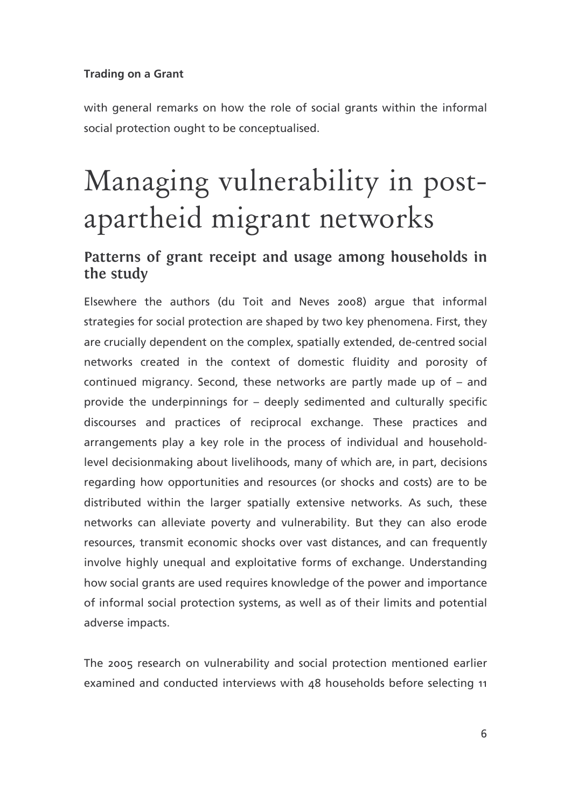with general remarks on how the role of social grants within the informal social protection ought to be conceptualised.

# Managing vulnerability in postapartheid migrant networks

## Patterns of grant receipt and usage among households in the study

Elsewhere the authors (du Toit and Neves 2008) arque that informal strategies for social protection are shaped by two key phenomena. First, they are crucially dependent on the complex, spatially extended, de-centred social networks created in the context of domestic fluidity and porosity of continued migrancy. Second, these networks are partly made up of - and provide the underpinnings for - deeply sedimented and culturally specific discourses and practices of reciprocal exchange. These practices and arrangements play a key role in the process of individual and householdlevel decisionmaking about livelihoods, many of which are, in part, decisions regarding how opportunities and resources (or shocks and costs) are to be distributed within the larger spatially extensive networks. As such, these networks can alleviate poverty and vulnerability. But they can also erode resources, transmit economic shocks over vast distances, and can frequently involve highly unequal and exploitative forms of exchange. Understanding how social grants are used requires knowledge of the power and importance of informal social protection systems, as well as of their limits and potential adverse impacts.

The 2005 research on vulnerability and social protection mentioned earlier examined and conducted interviews with 48 households before selecting 11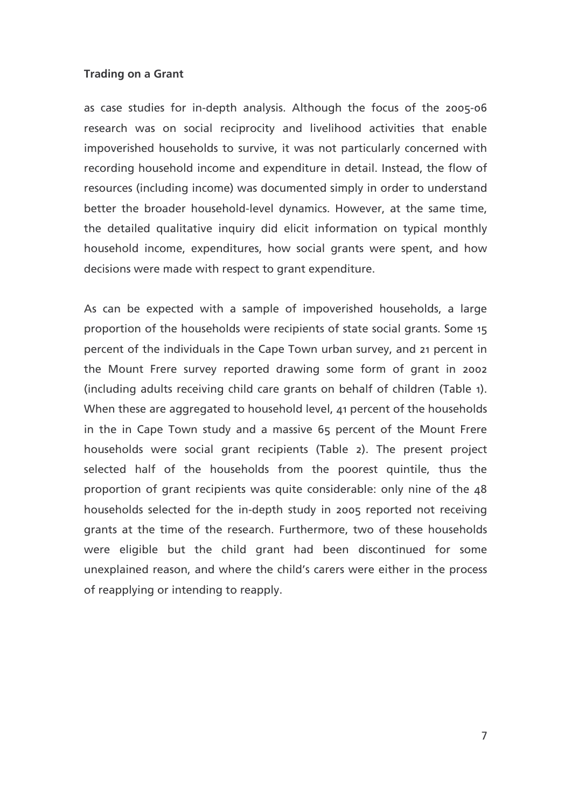as case studies for in-depth analysis. Although the focus of the 2005-06 research was on social reciprocity and livelihood activities that enable impoverished households to survive, it was not particularly concerned with recording household income and expenditure in detail. Instead, the flow of resources (including income) was documented simply in order to understand better the broader household-level dynamics. However, at the same time, the detailed qualitative inquiry did elicit information on typical monthly household income, expenditures, how social grants were spent, and how decisions were made with respect to grant expenditure.

As can be expected with a sample of impoverished households, a large proportion of the households were recipients of state social grants. Some 15 percent of the individuals in the Cape Town urban survey, and 21 percent in the Mount Frere survey reported drawing some form of grant in 2002 (including adults receiving child care grants on behalf of children (Table 1). When these are aggregated to household level, 41 percent of the households in the in Cape Town study and a massive 65 percent of the Mount Frere households were social grant recipients (Table 2). The present project selected half of the households from the poorest quintile, thus the proportion of grant recipients was quite considerable: only nine of the 48 households selected for the in-depth study in 2005 reported not receiving grants at the time of the research. Furthermore, two of these households were eligible but the child grant had been discontinued for some unexplained reason, and where the child's carers were either in the process of reapplying or intending to reapply.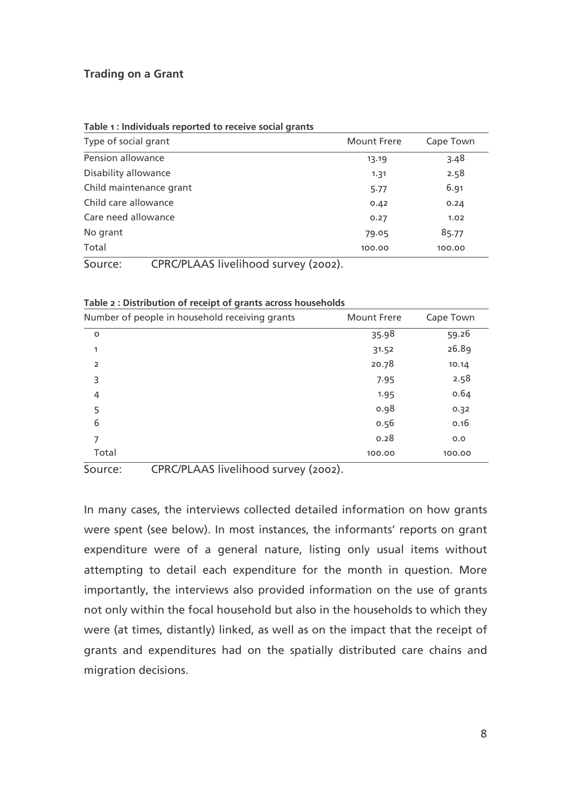| Type of social grant                            | <b>Mount Frere</b> | Cape Town |
|-------------------------------------------------|--------------------|-----------|
| Pension allowance                               | 13.19              | 3.48      |
| Disability allowance                            | 1.31               | 2.58      |
| Child maintenance grant                         | 5.77               | 6.91      |
| Child care allowance                            | 0.42               | 0.24      |
| Care need allowance                             | 0.27               | 1.02      |
| No grant                                        | 79.05              | 85.77     |
| Total                                           | 100.00             | 100.00    |
| CPRC/PLAAS livelihood survey (2002).<br>Source: |                    |           |

| Table 2 : Distribution of receipt of grants across households |  |  |
|---------------------------------------------------------------|--|--|
|                                                               |  |  |

| Number of people in household receiving grants | <b>Mount Frere</b> | Cape Town |
|------------------------------------------------|--------------------|-----------|
| $\circ$                                        | 35.98              | 59.26     |
| 1                                              | 31.52              | 26.89     |
| $\overline{2}$                                 | 20.78              | 10.14     |
| 3                                              | 7.95               | 2.58      |
| 4                                              | 1.95               | 0.64      |
| 5                                              | 0.98               | 0.32      |
| 6                                              | 0.56               | 0.16      |
| 7                                              | 0.28               | 0.0       |
| Total                                          | 100.00             | 100.00    |

Source: CPRC/PLAAS livelihood survey (2002).

In many cases, the interviews collected detailed information on how grants were spent (see below). In most instances, the informants' reports on grant expenditure were of a general nature, listing only usual items without attempting to detail each expenditure for the month in question. More importantly, the interviews also provided information on the use of grants not only within the focal household but also in the households to which they were (at times, distantly) linked, as well as on the impact that the receipt of grants and expenditures had on the spatially distributed care chains and migration decisions.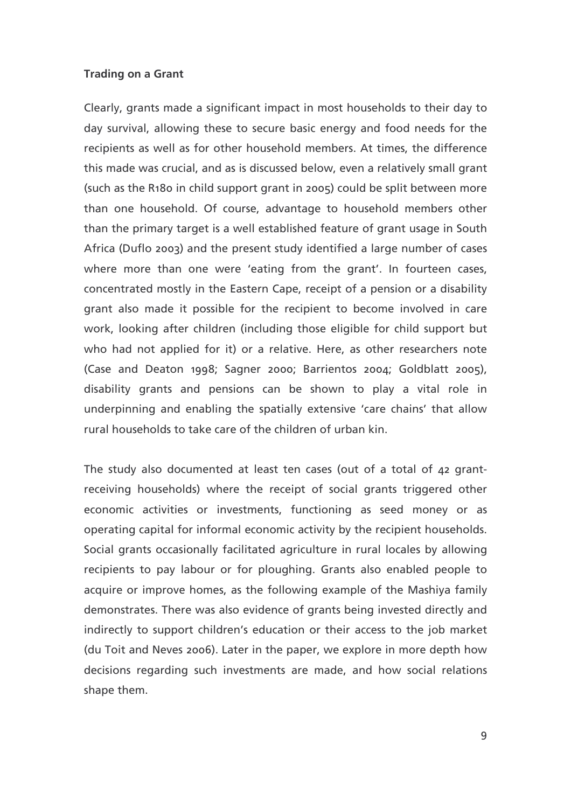Clearly, grants made a significant impact in most households to their day to day survival, allowing these to secure basic energy and food needs for the recipients as well as for other household members. At times, the difference this made was crucial, and as is discussed below, even a relatively small grant (such as the R180 in child support grant in 2005) could be split between more than one household. Of course, advantage to household members other than the primary target is a well established feature of grant usage in South Africa (Duflo 2003) and the present study identified a large number of cases where more than one were 'eating from the grant'. In fourteen cases, concentrated mostly in the Eastern Cape, receipt of a pension or a disability grant also made it possible for the recipient to become involved in care work, looking after children (including those eligible for child support but who had not applied for it) or a relative. Here, as other researchers note (Case and Deaton 1998; Sagner 2000; Barrientos 2004; Goldblatt 2005), disability grants and pensions can be shown to play a vital role in underpinning and enabling the spatially extensive 'care chains' that allow rural households to take care of the children of urban kin.

The study also documented at least ten cases (out of a total of 42 grantreceiving households) where the receipt of social grants triggered other economic activities or investments, functioning as seed money or as operating capital for informal economic activity by the recipient households. Social grants occasionally facilitated agriculture in rural locales by allowing recipients to pay labour or for ploughing. Grants also enabled people to acquire or improve homes, as the following example of the Mashiya family demonstrates. There was also evidence of grants being invested directly and indirectly to support children's education or their access to the job market (du Toit and Neves 2006). Later in the paper, we explore in more depth how decisions regarding such investments are made, and how social relations shape them.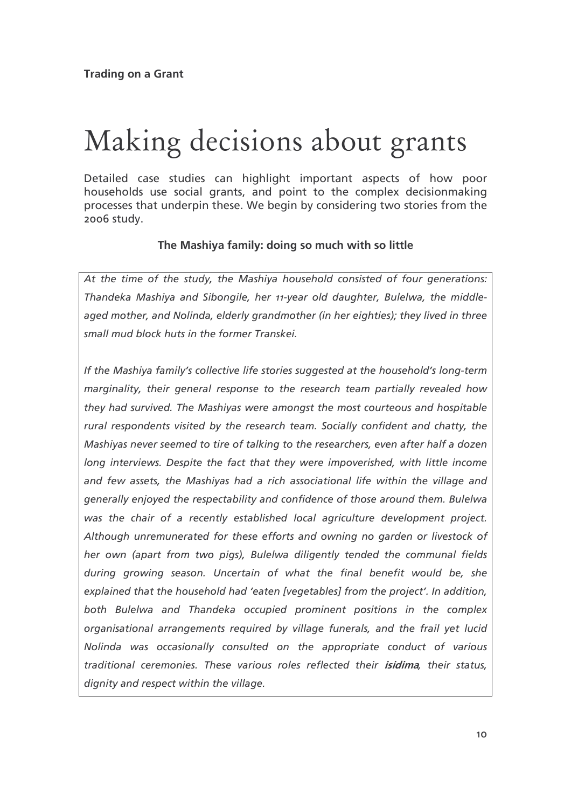## Making decisions about grants

Detailed case studies can highlight important aspects of how poor households use social grants, and point to the complex decisionmaking processes that underpin these. We begin by considering two stories from the 2006 study.

### The Mashiya family: doing so much with so little

At the time of the study, the Mashiya household consisted of four generations: Thandeka Mashiya and Sibongile, her 11-year old daughter, Bulelwa, the middleaged mother, and Nolinda, elderly grandmother (in her eighties); they lived in three small mud block huts in the former Transkei.

If the Mashiya family's collective life stories suggested at the household's long-term marginality, their general response to the research team partially revealed how they had survived. The Mashiyas were amongst the most courteous and hospitable rural respondents visited by the research team. Socially confident and chatty, the Mashiyas never seemed to tire of talking to the researchers, even after half a dozen long interviews. Despite the fact that they were impoverished, with little income and few assets, the Mashiyas had a rich associational life within the village and generally enjoyed the respectability and confidence of those around them. Bulelwa was the chair of a recently established local agriculture development project. Although unremunerated for these efforts and owning no garden or livestock of her own (apart from two pigs), Bulelwa diligently tended the communal fields during growing season. Uncertain of what the final benefit would be, she explained that the household had 'eaten [vegetables] from the project'. In addition, both Bulelwa and Thandeka occupied prominent positions in the complex organisational arrangements required by village funerals, and the frail yet lucid Nolinda was occasionally consulted on the appropriate conduct of various traditional ceremonies. These various roles reflected their *isidima*, their status, dignity and respect within the village.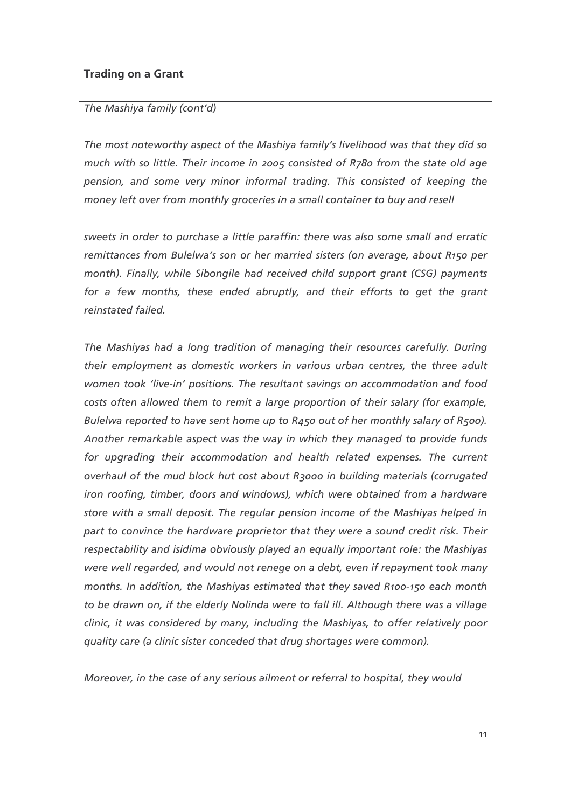## The Mashiya family (cont'd)

The most noteworthy aspect of the Mashiya family's livelihood was that they did so much with so little. Their income in 2005 consisted of R780 from the state old age pension, and some very minor informal trading. This consisted of keeping the money left over from monthly groceries in a small container to buy and resell

sweets in order to purchase a little paraffin: there was also some small and erratic remittances from Bulelwa's son or her married sisters (on average, about R150 per month). Finally, while Sibongile had received child support grant (CSG) payments for a few months, these ended abruptly, and their efforts to get the grant reinstated failed.

The Mashiyas had a long tradition of managing their resources carefully. During their employment as domestic workers in various urban centres, the three adult women took 'live-in' positions. The resultant savings on accommodation and food costs often allowed them to remit a large proportion of their salary (for example, Bulelwa reported to have sent home up to R450 out of her monthly salary of R500). Another remarkable aspect was the way in which they managed to provide funds for upgrading their accommodation and health related expenses. The current overhaul of the mud block hut cost about R3000 in building materials (corrugated iron roofing, timber, doors and windows), which were obtained from a hardware store with a small deposit. The regular pension income of the Mashiyas helped in part to convince the hardware proprietor that they were a sound credit risk. Their respectability and isidima obviously played an equally important role: the Mashiyas were well regarded, and would not renege on a debt, even if repayment took many months. In addition, the Mashiyas estimated that they saved R100-150 each month to be drawn on, if the elderly Nolinda were to fall ill. Although there was a village clinic, it was considered by many, including the Mashiyas, to offer relatively poor quality care (a clinic sister conceded that drug shortages were common).

Moreover, in the case of any serious ailment or referral to hospital, they would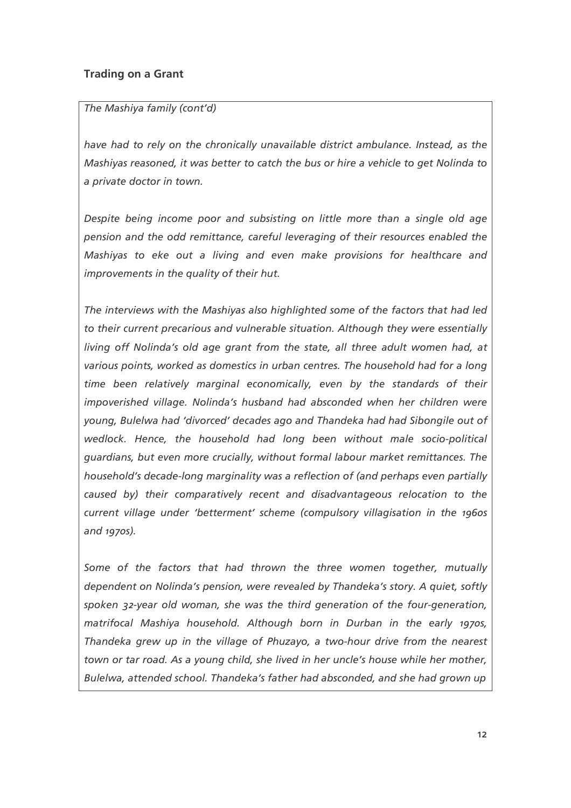### The Mashiya family (cont'd)

have had to rely on the chronically unavailable district ambulance. Instead, as the Mashiyas reasoned, it was better to catch the bus or hire a vehicle to get Nolinda to a private doctor in town.

Despite being income poor and subsisting on little more than a single old age pension and the odd remittance, careful leveraging of their resources enabled the Mashiyas to eke out a living and even make provisions for healthcare and improvements in the quality of their hut.

The interviews with the Mashiyas also highlighted some of the factors that had led to their current precarious and vulnerable situation. Although they were essentially living off Nolinda's old age grant from the state, all three adult women had, at various points, worked as domestics in urban centres. The household had for a long time been relatively marginal economically, even by the standards of their impoverished village. Nolinda's husband had absconded when her children were young, Bulelwa had 'divorced' decades ago and Thandeka had had Sibongile out of wedlock. Hence, the household had long been without male socio-political guardians, but even more crucially, without formal labour market remittances. The household's decade-long marginality was a reflection of (and perhaps even partially caused by) their comparatively recent and disadvantageous relocation to the current village under 'betterment' scheme (compulsory villagisation in the 1960s and 1970s).

Some of the factors that had thrown the three women together, mutually dependent on Nolinda's pension, were revealed by Thandeka's story. A quiet, softly spoken 32-year old woman, she was the third generation of the four-generation, matrifocal Mashiya household. Although born in Durban in the early 1970s, Thandeka grew up in the village of Phuzayo, a two-hour drive from the nearest town or tar road. As a young child, she lived in her uncle's house while her mother, Bulelwa, attended school. Thandeka's father had absconded, and she had grown up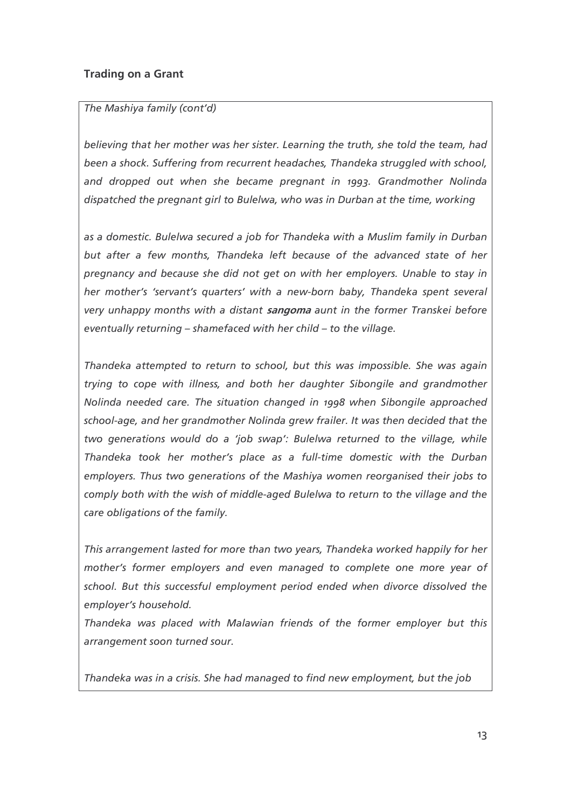## The Mashiya family (cont'd)

believing that her mother was her sister. Learning the truth, she told the team, had been a shock. Suffering from recurrent headaches, Thandeka struggled with school, and dropped out when she became pregnant in 1993. Grandmother Nolinda dispatched the pregnant girl to Bulelwa, who was in Durban at the time, working

as a domestic. Bulelwa secured a job for Thandeka with a Muslim family in Durban but after a few months, Thandeka left because of the advanced state of her pregnancy and because she did not get on with her employers. Unable to stay in her mother's 'servant's quarters' with a new-born baby, Thandeka spent several very unhappy months with a distant sangoma aunt in the former Transkei before eventually returning - shamefaced with her child - to the village.

Thandeka attempted to return to school, but this was impossible. She was again trying to cope with illness, and both her daughter Sibongile and grandmother Nolinda needed care. The situation changed in 1998 when Sibongile approached school-age, and her grandmother Nolinda grew frailer. It was then decided that the two generations would do a 'job swap': Bulelwa returned to the village, while Thandeka took her mother's place as a full-time domestic with the Durban employers. Thus two generations of the Mashiya women reorganised their jobs to comply both with the wish of middle-aged Bulelwa to return to the village and the care obligations of the family.

This arrangement lasted for more than two years, Thandeka worked happily for her mother's former employers and even managed to complete one more year of school. But this successful employment period ended when divorce dissolved the employer's household.

Thandeka was placed with Malawian friends of the former employer but this arrangement soon turned sour.

Thandeka was in a crisis. She had managed to find new employment, but the job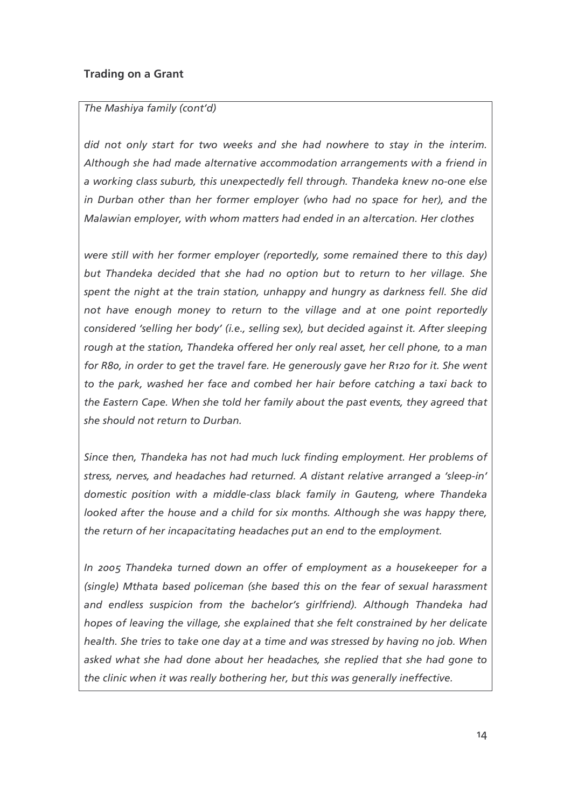#### The Mashiya family (cont'd)

did not only start for two weeks and she had nowhere to stay in the interim. Although she had made alternative accommodation arrangements with a friend in a working class suburb, this unexpectedly fell through. Thandeka knew no-one else in Durban other than her former employer (who had no space for her), and the Malawian employer, with whom matters had ended in an altercation. Her clothes

were still with her former employer (reportedly, some remained there to this day) but Thandeka decided that she had no option but to return to her village. She spent the night at the train station, unhappy and hungry as darkness fell. She did not have enough money to return to the village and at one point reportedly considered 'selling her body' (i.e., selling sex), but decided against it. After sleeping rough at the station, Thandeka offered her only real asset, her cell phone, to a man for R80, in order to get the travel fare. He generously gave her R120 for it. She went to the park, washed her face and combed her hair before catching a taxi back to the Eastern Cape. When she told her family about the past events, they agreed that she should not return to Durban.

Since then, Thandeka has not had much luck finding employment. Her problems of stress, nerves, and headaches had returned. A distant relative arranged a 'sleep-in' domestic position with a middle-class black family in Gauteng, where Thandeka looked after the house and a child for six months. Although she was happy there, the return of her incapacitating headaches put an end to the employment.

In 2005 Thandeka turned down an offer of employment as a housekeeper for a (single) Mthata based policeman (she based this on the fear of sexual harassment and endless suspicion from the bachelor's girlfriend). Although Thandeka had hopes of leaving the village, she explained that she felt constrained by her delicate health. She tries to take one day at a time and was stressed by having no job. When asked what she had done about her headaches, she replied that she had gone to the clinic when it was really bothering her, but this was generally ineffective.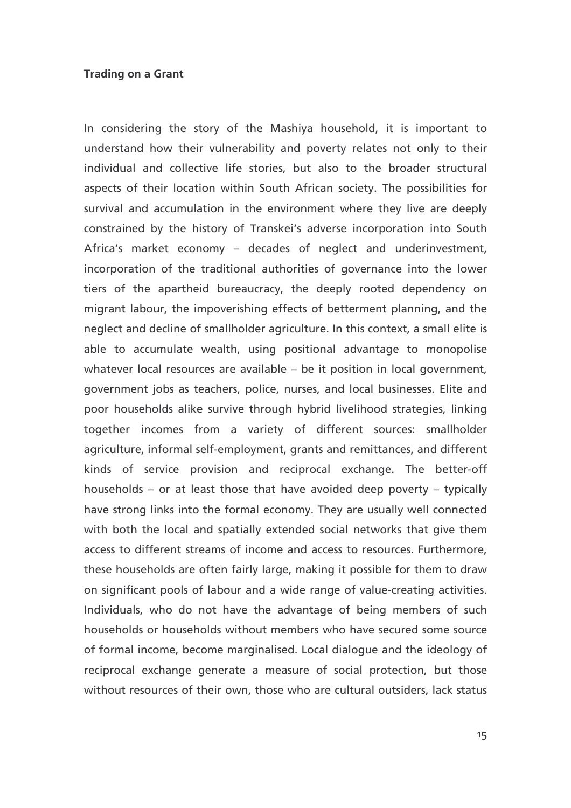In considering the story of the Mashiya household, it is important to understand how their vulnerability and poverty relates not only to their individual and collective life stories, but also to the broader structural aspects of their location within South African society. The possibilities for survival and accumulation in the environment where they live are deeply constrained by the history of Transkei's adverse incorporation into South Africa's market economy - decades of neglect and underinvestment, incorporation of the traditional authorities of governance into the lower tiers of the apartheid bureaucracy, the deeply rooted dependency on migrant labour, the impoverishing effects of betterment planning, and the neglect and decline of smallholder agriculture. In this context, a small elite is able to accumulate wealth, using positional advantage to monopolise whatever local resources are available - be it position in local government, government jobs as teachers, police, nurses, and local businesses. Elite and poor households alike survive through hybrid livelihood strategies, linking together incomes from a variety of different sources: smallholder agriculture, informal self-employment, grants and remittances, and different kinds of service provision and reciprocal exchange. The better-off households – or at least those that have avoided deep poverty – typically have strong links into the formal economy. They are usually well connected with both the local and spatially extended social networks that give them access to different streams of income and access to resources. Furthermore, these households are often fairly large, making it possible for them to draw on significant pools of labour and a wide range of value-creating activities. Individuals, who do not have the advantage of being members of such households or households without members who have secured some source of formal income, become marginalised. Local dialogue and the ideology of reciprocal exchange generate a measure of social protection, but those without resources of their own, those who are cultural outsiders, lack status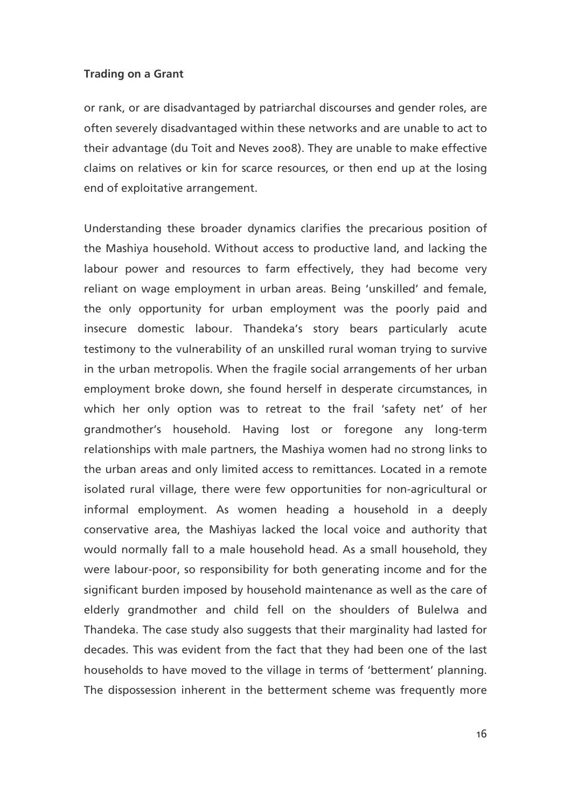or rank, or are disadvantaged by patriarchal discourses and gender roles, are often severely disadvantaged within these networks and are unable to act to their advantage (du Toit and Neves 2008). They are unable to make effective claims on relatives or kin for scarce resources, or then end up at the losing end of exploitative arrangement.

Understanding these broader dynamics clarifies the precarious position of the Mashiya household. Without access to productive land, and lacking the labour power and resources to farm effectively, they had become very reliant on wage employment in urban areas. Being 'unskilled' and female, the only opportunity for urban employment was the poorly paid and insecure domestic labour. Thandeka's story bears particularly acute testimony to the vulnerability of an unskilled rural woman trying to survive in the urban metropolis. When the fragile social arrangements of her urban employment broke down, she found herself in desperate circumstances, in which her only option was to retreat to the frail 'safety net' of her grandmother's household. Having lost or foregone any long-term relationships with male partners, the Mashiya women had no strong links to the urban areas and only limited access to remittances. Located in a remote isolated rural village, there were few opportunities for non-agricultural or informal employment. As women heading a household in a deeply conservative area, the Mashiyas lacked the local voice and authority that would normally fall to a male household head. As a small household, they were labour-poor, so responsibility for both generating income and for the significant burden imposed by household maintenance as well as the care of elderly grandmother and child fell on the shoulders of Bulelwa and Thandeka. The case study also suggests that their marginality had lasted for decades. This was evident from the fact that they had been one of the last households to have moved to the village in terms of 'betterment' planning. The dispossession inherent in the betterment scheme was frequently more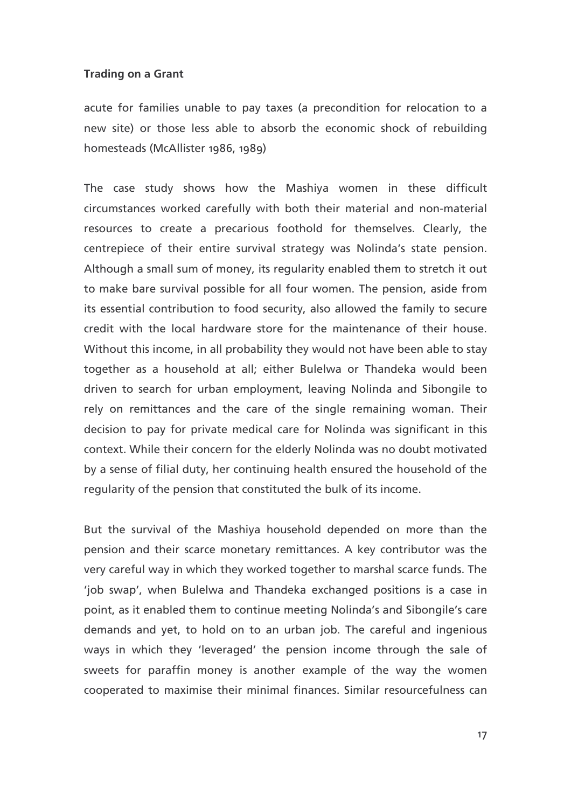acute for families unable to pay taxes (a precondition for relocation to a new site) or those less able to absorb the economic shock of rebuilding homesteads (McAllister 1986, 1989)

The case study shows how the Mashiya women in these difficult circumstances worked carefully with both their material and non-material resources to create a precarious foothold for themselves. Clearly, the centrepiece of their entire survival strategy was Nolinda's state pension. Although a small sum of money, its regularity enabled them to stretch it out to make bare survival possible for all four women. The pension, aside from its essential contribution to food security, also allowed the family to secure credit with the local hardware store for the maintenance of their house. Without this income, in all probability they would not have been able to stay together as a household at all: either Bulelwa or Thandeka would been driven to search for urban employment, leaving Nolinda and Sibongile to rely on remittances and the care of the single remaining woman. Their decision to pay for private medical care for Nolinda was significant in this context. While their concern for the elderly Nolinda was no doubt motivated by a sense of filial duty, her continuing health ensured the household of the regularity of the pension that constituted the bulk of its income.

But the survival of the Mashiya household depended on more than the pension and their scarce monetary remittances. A key contributor was the very careful way in which they worked together to marshal scarce funds. The 'job swap', when Bulelwa and Thandeka exchanged positions is a case in point, as it enabled them to continue meeting Nolinda's and Sibongile's care demands and yet, to hold on to an urban job. The careful and ingenious ways in which they 'leveraged' the pension income through the sale of sweets for paraffin money is another example of the way the women cooperated to maximise their minimal finances. Similar resourcefulness can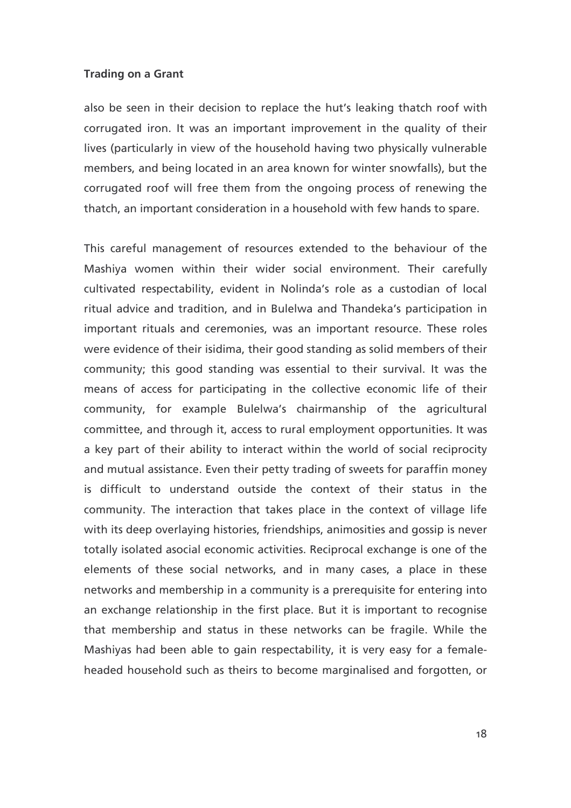also be seen in their decision to replace the hut's leaking thatch roof with corrugated iron. It was an important improvement in the quality of their lives (particularly in view of the household having two physically vulnerable members, and being located in an area known for winter snowfalls), but the corrugated roof will free them from the ongoing process of renewing the thatch, an important consideration in a household with few hands to spare.

This careful management of resources extended to the behaviour of the Mashiya women within their wider social environment. Their carefully cultivated respectability, evident in Nolinda's role as a custodian of local ritual advice and tradition, and in Bulelwa and Thandeka's participation in important rituals and ceremonies, was an important resource. These roles were evidence of their isidima, their good standing as solid members of their community; this good standing was essential to their survival. It was the means of access for participating in the collective economic life of their community, for example Bulelwa's chairmanship of the agricultural committee, and through it, access to rural employment opportunities. It was a key part of their ability to interact within the world of social reciprocity and mutual assistance. Even their petty trading of sweets for paraffin money is difficult to understand outside the context of their status in the community. The interaction that takes place in the context of village life with its deep overlaying histories, friendships, animosities and gossip is never totally isolated asocial economic activities. Reciprocal exchange is one of the elements of these social networks, and in many cases, a place in these networks and membership in a community is a prerequisite for entering into an exchange relationship in the first place. But it is important to recognise that membership and status in these networks can be fragile. While the Mashiyas had been able to gain respectability, it is very easy for a femaleheaded household such as theirs to become marginalised and forgotten, or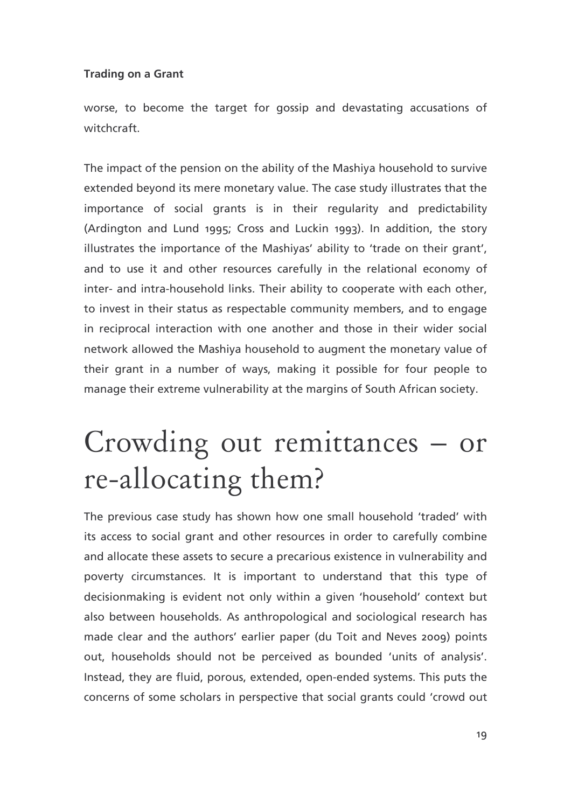worse, to become the target for gossip and devastating accusations of witchcraft

The impact of the pension on the ability of the Mashiya household to survive extended beyond its mere monetary value. The case study illustrates that the importance of social grants is in their regularity and predictability (Ardington and Lund 1995; Cross and Luckin 1993). In addition, the story illustrates the importance of the Mashiyas' ability to 'trade on their grant', and to use it and other resources carefully in the relational economy of inter- and intra-household links. Their ability to cooperate with each other, to invest in their status as respectable community members, and to engage in reciprocal interaction with one another and those in their wider social network allowed the Mashiya household to augment the monetary value of their grant in a number of ways, making it possible for four people to manage their extreme vulnerability at the margins of South African society.

## Crowding out remittances – or re-allocating them?

The previous case study has shown how one small household 'traded' with its access to social grant and other resources in order to carefully combine and allocate these assets to secure a precarious existence in vulnerability and poverty circumstances. It is important to understand that this type of decisionmaking is evident not only within a given 'household' context but also between households. As anthropological and sociological research has made clear and the authors' earlier paper (du Toit and Neves 2009) points out, households should not be perceived as bounded 'units of analysis'. Instead, they are fluid, porous, extended, open-ended systems. This puts the concerns of some scholars in perspective that social grants could 'crowd out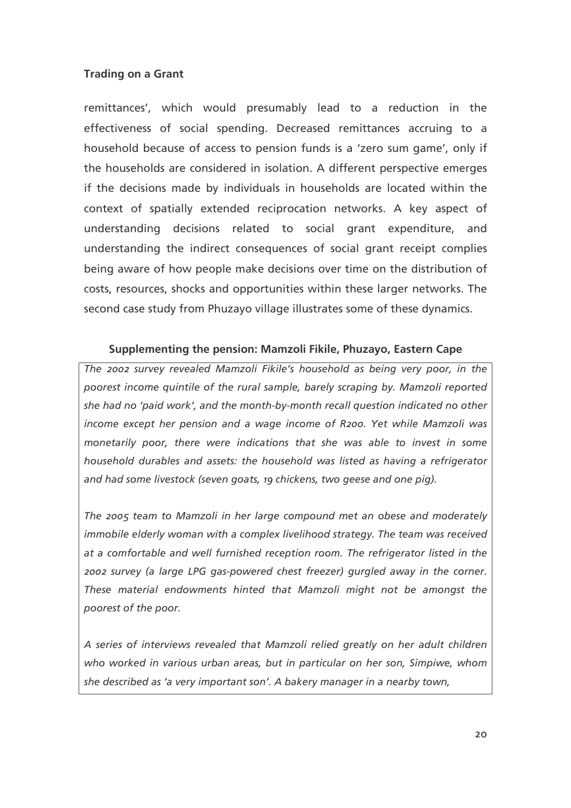remittances', which would presumably lead to a reduction in the effectiveness of social spending. Decreased remittances accruing to a household because of access to pension funds is a 'zero sum game', only if the households are considered in isolation. A different perspective emerges if the decisions made by individuals in households are located within the context of spatially extended reciprocation networks. A key aspect of understanding decisions related to social grant expenditure, and understanding the indirect consequences of social grant receipt complies being aware of how people make decisions over time on the distribution of costs, resources, shocks and opportunities within these larger networks. The second case study from Phuzayo village illustrates some of these dynamics.

## Supplementing the pension: Mamzoli Fikile, Phuzayo, Eastern Cape

The 2002 survey revealed Mamzoli Fikile's household as being very poor, in the poorest income quintile of the rural sample, barely scraping by. Mamzoli reported she had no 'paid work', and the month-by-month recall question indicated no other income except her pension and a wage income of R200. Yet while Mamzoli was monetarily poor, there were indications that she was able to invest in some household durables and assets: the household was listed as having a refrigerator and had some livestock (seven goats, 19 chickens, two geese and one pig).

The 2005 team to Mamzoli in her large compound met an obese and moderately immobile elderly woman with a complex livelihood strategy. The team was received at a comfortable and well furnished reception room. The refrigerator listed in the 2002 survey (a large LPG gas-powered chest freezer) gurgled away in the corner. These material endowments hinted that Mamzoli might not be amongst the poorest of the poor.

A series of interviews revealed that Mamzoli relied greatly on her adult children who worked in various urban areas, but in particular on her son, Simpiwe, whom she described as 'a very important son'. A bakery manager in a nearby town,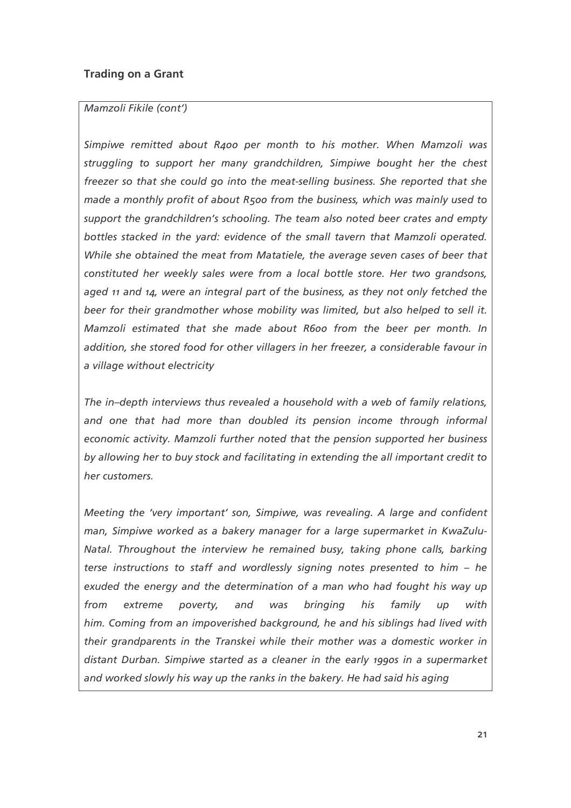#### Mamzoli Fikile (cont')

Simpiwe remitted about R400 per month to his mother. When Mamzoli was struggling to support her many grandchildren, Simpiwe bought her the chest freezer so that she could go into the meat-selling business. She reported that she made a monthly profit of about R500 from the business, which was mainly used to support the grandchildren's schooling. The team also noted beer crates and empty bottles stacked in the yard: evidence of the small tavern that Mamzoli operated. While she obtained the meat from Matatiele, the average seven cases of beer that constituted her weekly sales were from a local bottle store. Her two grandsons, aged 11 and 14, were an integral part of the business, as they not only fetched the beer for their grandmother whose mobility was limited, but also helped to sell it. Mamzoli estimated that she made about R600 from the beer per month. In addition, she stored food for other villagers in her freezer, a considerable favour in a village without electricity

The in-depth interviews thus revealed a household with a web of family relations, and one that had more than doubled its pension income through informal economic activity. Mamzoli further noted that the pension supported her business by allowing her to buy stock and facilitating in extending the all important credit to her customers.

Meeting the 'very important' son, Simpiwe, was revealing. A large and confident man, Simpiwe worked as a bakery manager for a large supermarket in KwaZulu-Natal. Throughout the interview he remained busy, taking phone calls, barking terse instructions to staff and wordlessly signing notes presented to him - he exuded the energy and the determination of a man who had fought his way up from extreme poverty. and was brinaina his family  $UD$ with him. Coming from an impoverished background, he and his siblings had lived with their grandparents in the Transkei while their mother was a domestic worker in distant Durban. Simpiwe started as a cleaner in the early 1990s in a supermarket and worked slowly his way up the ranks in the bakery. He had said his aging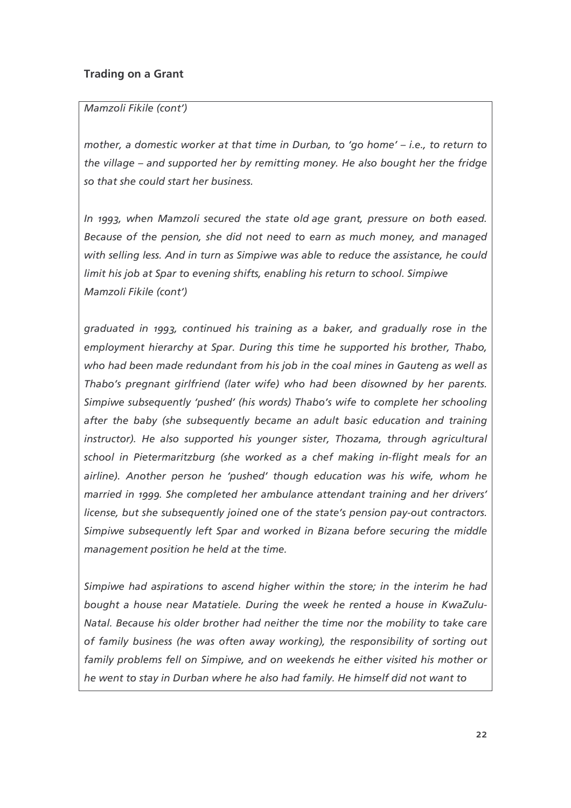### Mamzoli Fikile (cont')

mother, a domestic worker at that time in Durban, to 'go home' – i.e., to return to the village – and supported her by remitting money. He also bought her the fridge so that she could start her business.

In 1993, when Mamzoli secured the state old age grant, pressure on both eased. Because of the pension, she did not need to earn as much money, and managed with selling less. And in turn as Simpiwe was able to reduce the assistance, he could limit his job at Spar to evening shifts, enabling his return to school. Simpiwe Mamzoli Fikile (cont')

graduated in 1993, continued his training as a baker, and gradually rose in the employment hierarchy at Spar. During this time he supported his brother, Thabo, who had been made redundant from his job in the coal mines in Gauteng as well as Thabo's pregnant girlfriend (later wife) who had been disowned by her parents. Simpiwe subsequently 'pushed' (his words) Thabo's wife to complete her schooling after the baby (she subsequently became an adult basic education and training instructor). He also supported his younger sister, Thozama, through agricultural school in Pietermaritzburg (she worked as a chef making in-flight meals for an airline). Another person he 'pushed' though education was his wife, whom he married in 1999. She completed her ambulance attendant training and her drivers' license, but she subsequently joined one of the state's pension pay-out contractors. Simpiwe subsequently left Spar and worked in Bizana before securing the middle management position he held at the time.

Simpiwe had aspirations to ascend higher within the store; in the interim he had bought a house near Matatiele. During the week he rented a house in KwaZulu-Natal. Because his older brother had neither the time nor the mobility to take care of family business (he was often away working), the responsibility of sorting out family problems fell on Simpiwe, and on weekends he either visited his mother or he went to stay in Durban where he also had family. He himself did not want to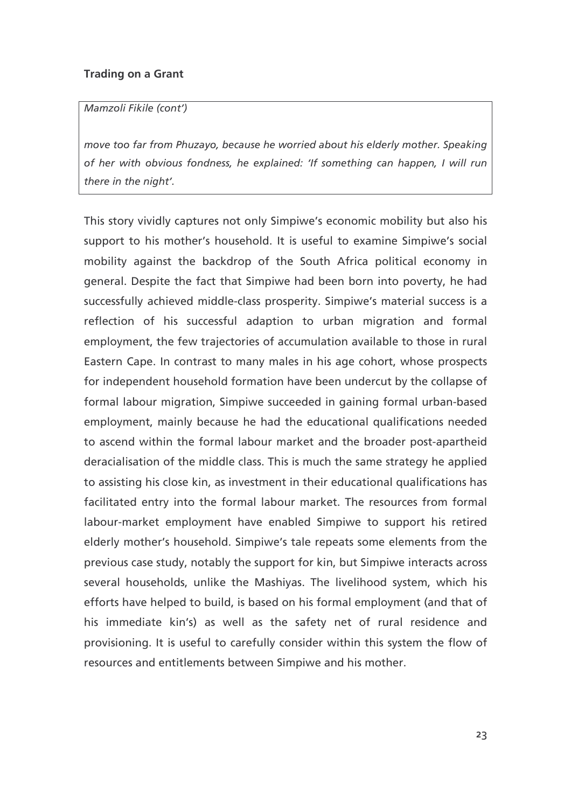#### Mamzoli Fikile (cont')

move too far from Phuzayo, because he worried about his elderly mother. Speaking of her with obvious fondness, he explained: 'If something can happen, I will run there in the night'.

This story vividly captures not only Simpiwe's economic mobility but also his support to his mother's household. It is useful to examine Simpiwe's social mobility against the backdrop of the South Africa political economy in general. Despite the fact that Simpiwe had been born into poverty, he had successfully achieved middle-class prosperity. Simpiwe's material success is a reflection of his successful adaption to urban migration and formal employment, the few trajectories of accumulation available to those in rural Eastern Cape. In contrast to many males in his age cohort, whose prospects for independent household formation have been undercut by the collapse of formal labour migration, Simpiwe succeeded in gaining formal urban-based employment, mainly because he had the educational qualifications needed to ascend within the formal labour market and the broader post-apartheid deracialisation of the middle class. This is much the same strategy he applied to assisting his close kin, as investment in their educational qualifications has facilitated entry into the formal labour market. The resources from formal labour-market employment have enabled Simpiwe to support his retired elderly mother's household. Simpiwe's tale repeats some elements from the previous case study, notably the support for kin, but Simpiwe interacts across several households, unlike the Mashiyas. The livelihood system, which his efforts have helped to build, is based on his formal employment (and that of his immediate kin's) as well as the safety net of rural residence and provisioning. It is useful to carefully consider within this system the flow of resources and entitlements between Simpiwe and his mother.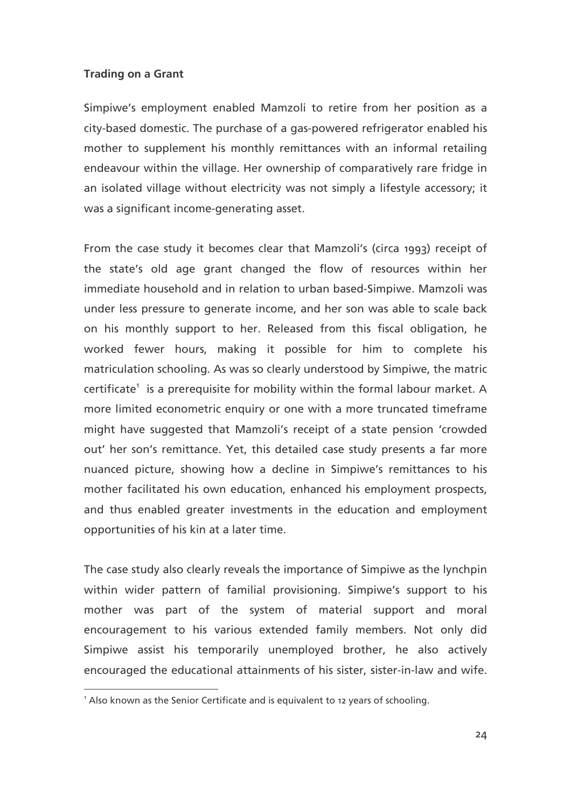Simpiwe's employment enabled Mamzoli to retire from her position as a city-based domestic. The purchase of a gas-powered refrigerator enabled his mother to supplement his monthly remittances with an informal retailing endeavour within the village. Her ownership of comparatively rare fridge in an isolated village without electricity was not simply a lifestyle accessory; it was a significant income-generating asset.

From the case study it becomes clear that Mamzoli's (circa 1993) receipt of the state's old age grant changed the flow of resources within her immediate household and in relation to urban based-Simpiwe. Mamzoli was under less pressure to generate income, and her son was able to scale back on his monthly support to her. Released from this fiscal obligation, he worked fewer hours, making it possible for him to complete his matriculation schooling. As was so clearly understood by Simpiwe, the matric certificate<sup>1</sup> is a prerequisite for mobility within the formal labour market. A more limited econometric enquiry or one with a more truncated timeframe might have suggested that Mamzoli's receipt of a state pension 'crowded out' her son's remittance. Yet, this detailed case study presents a far more nuanced picture, showing how a decline in Simpiwe's remittances to his mother facilitated his own education, enhanced his employment prospects, and thus enabled greater investments in the education and employment opportunities of his kin at a later time.

The case study also clearly reveals the importance of Simpiwe as the lynchpin within wider pattern of familial provisioning. Simpiwe's support to his mother was part of the system of material support and moral encouragement to his various extended family members. Not only did Simpiwe assist his temporarily unemployed brother, he also actively encouraged the educational attainments of his sister, sister-in-law and wife.

<sup>&</sup>lt;sup>1</sup> Also known as the Senior Certificate and is equivalent to 12 years of schooling.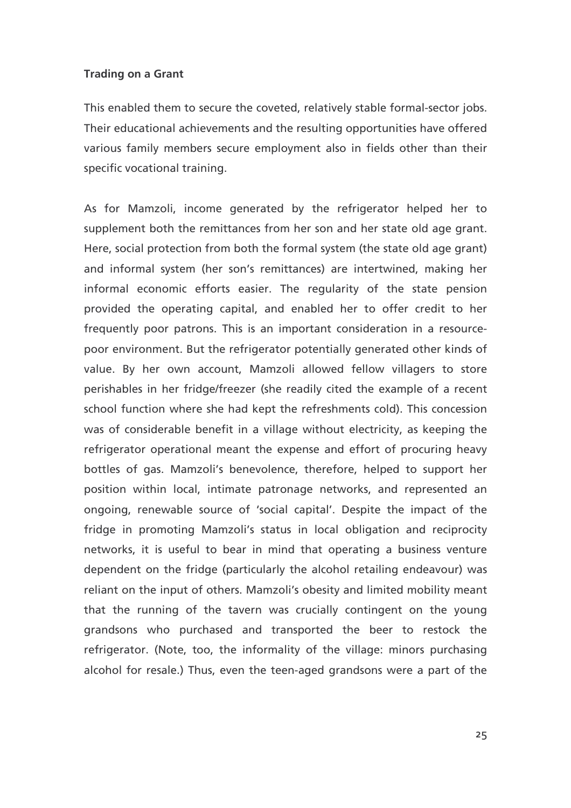This enabled them to secure the coveted, relatively stable formal-sector jobs. Their educational achievements and the resulting opportunities have offered various family members secure employment also in fields other than their specific vocational training.

As for Mamzoli, income generated by the refrigerator helped her to supplement both the remittances from her son and her state old age grant. Here, social protection from both the formal system (the state old age grant) and informal system (her son's remittances) are intertwined, making her informal economic efforts easier. The regularity of the state pension provided the operating capital, and enabled her to offer credit to her frequently poor patrons. This is an important consideration in a resourcepoor environment. But the refrigerator potentially generated other kinds of value. By her own account, Mamzoli allowed fellow villagers to store perishables in her fridge/freezer (she readily cited the example of a recent school function where she had kept the refreshments cold). This concession was of considerable benefit in a village without electricity, as keeping the refrigerator operational meant the expense and effort of procuring heavy bottles of gas. Mamzoli's benevolence, therefore, helped to support her position within local, intimate patronage networks, and represented an ongoing, renewable source of 'social capital'. Despite the impact of the fridge in promoting Mamzoli's status in local obligation and reciprocity networks, it is useful to bear in mind that operating a business venture dependent on the fridge (particularly the alcohol retailing endeavour) was reliant on the input of others. Mamzoli's obesity and limited mobility meant that the running of the tavern was crucially contingent on the young grandsons who purchased and transported the beer to restock the refrigerator. (Note, too, the informality of the village: minors purchasing alcohol for resale.) Thus, even the teen-aged grandsons were a part of the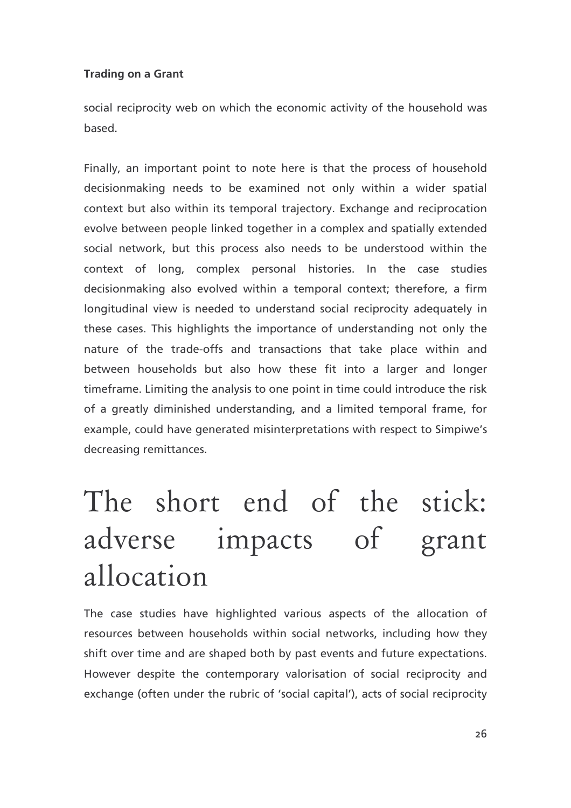social reciprocity web on which the economic activity of the household was hased

Finally, an important point to note here is that the process of household decisionmaking needs to be examined not only within a wider spatial context but also within its temporal trajectory. Exchange and reciprocation evolve between people linked together in a complex and spatially extended social network, but this process also needs to be understood within the context of long, complex personal histories. In the case studies decisionmaking also evolved within a temporal context; therefore, a firm longitudinal view is needed to understand social reciprocity adequately in these cases. This highlights the importance of understanding not only the nature of the trade-offs and transactions that take place within and between households but also how these fit into a larger and longer timeframe. Limiting the analysis to one point in time could introduce the risk of a greatly diminished understanding, and a limited temporal frame, for example, could have generated misinterpretations with respect to Simpiwe's decreasing remittances.

# The short end of the stick: adverse impacts of grant allocation

The case studies have highlighted various aspects of the allocation of resources between households within social networks, including how they shift over time and are shaped both by past events and future expectations. However despite the contemporary valorisation of social reciprocity and exchange (often under the rubric of 'social capital'), acts of social reciprocity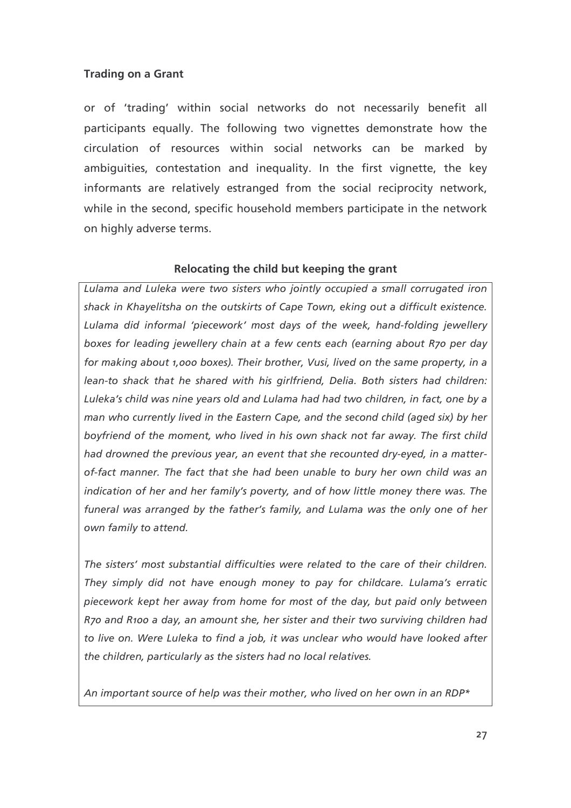or of 'trading' within social networks do not necessarily benefit all participants equally. The following two vignettes demonstrate how the circulation of resources within social networks can be marked by ambiguities, contestation and inequality. In the first vignette, the key informants are relatively estranged from the social reciprocity network, while in the second, specific household members participate in the network on highly adverse terms.

## Relocating the child but keeping the grant

Lulama and Luleka were two sisters who jointly occupied a small corrugated iron shack in Khayelitsha on the outskirts of Cape Town, eking out a difficult existence. Lulama did informal 'piecework' most days of the week, hand-folding jewellery boxes for leading jewellery chain at a few cents each (earning about R70 per day for making about 1,000 boxes). Their brother, Vusi, lived on the same property, in a lean-to shack that he shared with his girlfriend, Delia. Both sisters had children: Luleka's child was nine years old and Lulama had had two children, in fact, one by a man who currently lived in the Eastern Cape, and the second child (aged six) by her boyfriend of the moment, who lived in his own shack not far away. The first child had drowned the previous year, an event that she recounted dry-eyed, in a matterof-fact manner. The fact that she had been unable to bury her own child was an indication of her and her family's poverty, and of how little money there was. The funeral was arranged by the father's family, and Lulama was the only one of her own family to attend.

The sisters' most substantial difficulties were related to the care of their children. They simply did not have enough money to pay for childcare. Lulama's erratic piecework kept her away from home for most of the day, but paid only between R70 and R100 a day, an amount she, her sister and their two surviving children had to live on. Were Luleka to find a job, it was unclear who would have looked after the children, particularly as the sisters had no local relatives.

An important source of help was their mother, who lived on her own in an RDP\*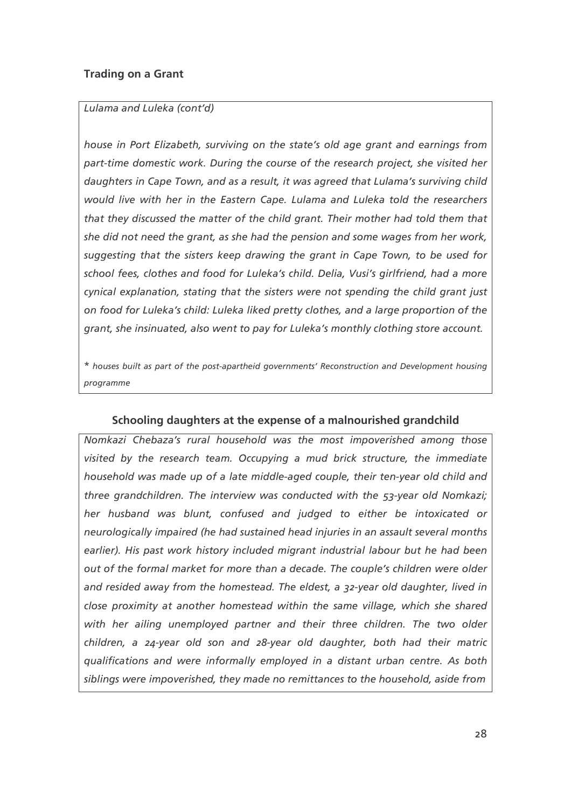### Lulama and Luleka (cont'd)

house in Port Elizabeth, surviving on the state's old age grant and earnings from part-time domestic work. During the course of the research project, she visited her daughters in Cape Town, and as a result, it was agreed that Lulama's surviving child would live with her in the Eastern Cape. Lulama and Luleka told the researchers that they discussed the matter of the child grant. Their mother had told them that she did not need the grant, as she had the pension and some wages from her work, suggesting that the sisters keep drawing the grant in Cape Town, to be used for school fees, clothes and food for Luleka's child. Delia, Vusi's girlfriend, had a more cynical explanation, stating that the sisters were not spending the child grant just on food for Luleka's child: Luleka liked pretty clothes, and a large proportion of the grant, she insinuated, also went to pay for Luleka's monthly clothing store account.

\* houses built as part of the post-apartheid governments' Reconstruction and Development housing programme

### Schooling daughters at the expense of a malnourished grandchild

Nomkazi Chebaza's rural household was the most impoverished among those visited by the research team. Occupying a mud brick structure, the immediate household was made up of a late middle-aged couple, their ten-year old child and three grandchildren. The interview was conducted with the 53-year old Nomkazi; her husband was blunt, confused and judged to either be intoxicated or neurologically impaired (he had sustained head injuries in an assault several months earlier). His past work history included migrant industrial labour but he had been out of the formal market for more than a decade. The couple's children were older and resided away from the homestead. The eldest, a 32-year old daughter, lived in close proximity at another homestead within the same village, which she shared with her ailing unemployed partner and their three children. The two older children, a 24-year old son and 28-year old daughter, both had their matric qualifications and were informally employed in a distant urban centre. As both siblings were impoverished, they made no remittances to the household, aside from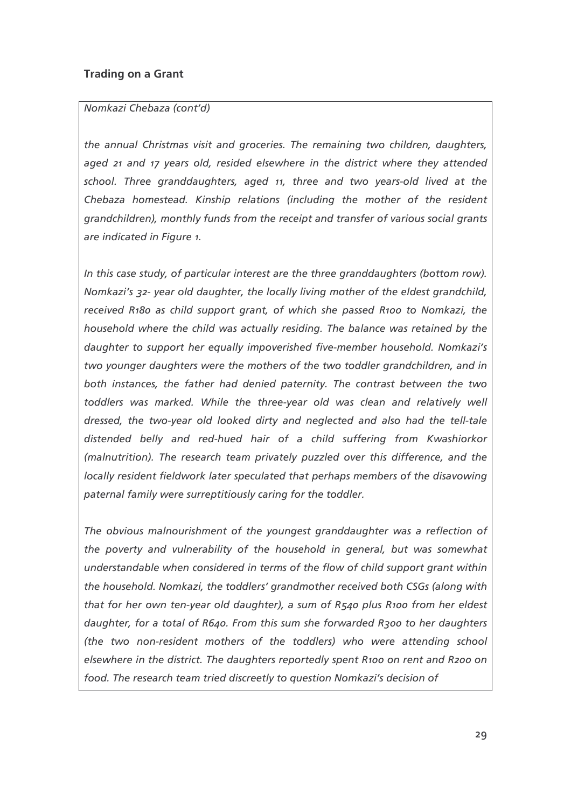#### Nomkazi Chebaza (cont'd)

the annual Christmas visit and groceries. The remaining two children, daughters, aged 21 and 17 years old, resided elsewhere in the district where they attended school. Three granddaughters, aged 11, three and two years-old lived at the Chebaza homestead. Kinship relations (including the mother of the resident grandchildren), monthly funds from the receipt and transfer of various social grants are indicated in Figure 1.

In this case study, of particular interest are the three granddaughters (bottom row). Nomkazi's 32- year old daughter, the locally living mother of the eldest grandchild, received R180 as child support grant, of which she passed R100 to Nomkazi, the household where the child was actually residing. The balance was retained by the daughter to support her equally impoverished five-member household. Nomkazi's two younger daughters were the mothers of the two toddler grandchildren, and in both instances, the father had denied paternity. The contrast between the two toddlers was marked. While the three-year old was clean and relatively well dressed, the two-year old looked dirty and neglected and also had the tell-tale distended belly and red-hued hair of a child suffering from Kwashiorkor (malnutrition). The research team privately puzzled over this difference, and the locally resident fieldwork later speculated that perhaps members of the disavowing paternal family were surreptitiously caring for the toddler.

The obvious malnourishment of the youngest granddaughter was a reflection of the poverty and vulnerability of the household in general, but was somewhat understandable when considered in terms of the flow of child support grant within the household. Nomkazi, the toddlers' grandmother received both CSGs (along with that for her own ten-year old daughter), a sum of R540 plus R100 from her eldest daughter, for a total of  $R640$ . From this sum she forwarded  $R300$  to her daughters (the two non-resident mothers of the toddlers) who were attending school elsewhere in the district. The daughters reportedly spent R100 on rent and R200 on food. The research team tried discreetly to question Nomkazi's decision of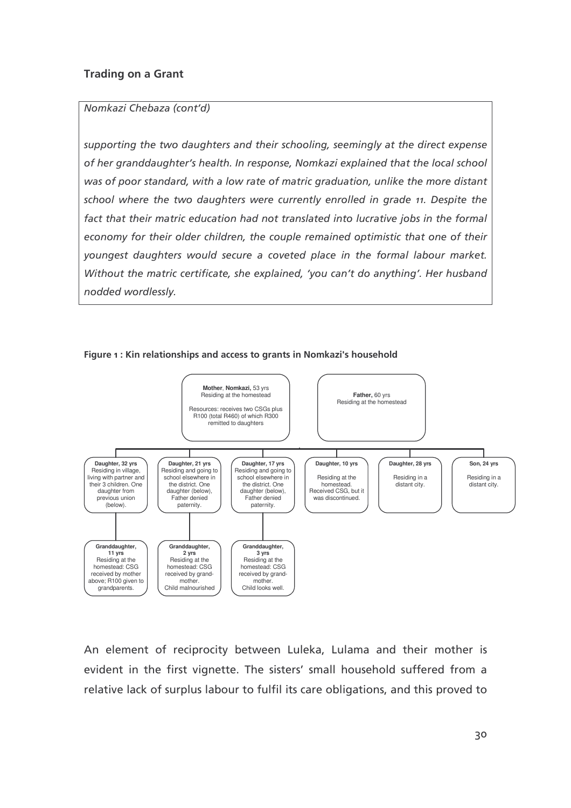#### Nomkazi Chebaza (cont'd)

supporting the two daughters and their schooling, seemingly at the direct expense of her granddaughter's health. In response, Nomkazi explained that the local school was of poor standard, with a low rate of matric graduation, unlike the more distant school where the two daughters were currently enrolled in grade 11. Despite the fact that their matric education had not translated into lucrative jobs in the formal economy for their older children, the couple remained optimistic that one of their youngest daughters would secure a coveted place in the formal labour market. Without the matric certificate, she explained, 'you can't do anything'. Her husbano nodded wordlessly.



#### Figure 1: Kin relationships and access to grants in Nomkazi's household

An element of reciprocity between Luleka, Lulama and their mother is evident in the first vignette. The sisters' small household suffered from a relative lack of surplus labour to fulfil its care obligations, and this proved to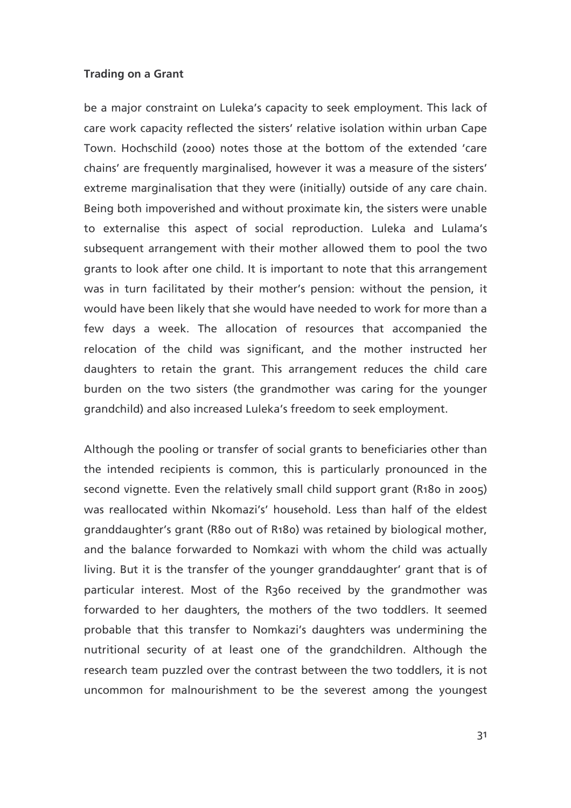be a major constraint on Luleka's capacity to seek employment. This lack of care work capacity reflected the sisters' relative isolation within urban Cape Town. Hochschild (2000) notes those at the bottom of the extended 'care chains' are frequently marginalised, however it was a measure of the sisters' extreme marginalisation that they were (initially) outside of any care chain. Being both impoverished and without proximate kin, the sisters were unable to externalise this aspect of social reproduction. Luleka and Lulama's subsequent arrangement with their mother allowed them to pool the two grants to look after one child. It is important to note that this arrangement was in turn facilitated by their mother's pension: without the pension, it would have been likely that she would have needed to work for more than a few days a week. The allocation of resources that accompanied the relocation of the child was significant, and the mother instructed her daughters to retain the grant. This arrangement reduces the child care burden on the two sisters (the grandmother was caring for the younger grandchild) and also increased Luleka's freedom to seek employment.

Although the pooling or transfer of social grants to beneficiaries other than the intended recipients is common, this is particularly pronounced in the second vignette. Even the relatively small child support grant (R180 in 2005) was reallocated within Nkomazi's' household. Less than half of the eldest granddaughter's grant (R80 out of R180) was retained by biological mother, and the balance forwarded to Nomkazi with whom the child was actually living. But it is the transfer of the younger granddaughter' grant that is of particular interest. Most of the R360 received by the grandmother was forwarded to her daughters, the mothers of the two toddlers. It seemed probable that this transfer to Nomkazi's daughters was undermining the nutritional security of at least one of the grandchildren. Although the research team puzzled over the contrast between the two toddlers, it is not uncommon for malnourishment to be the severest among the youngest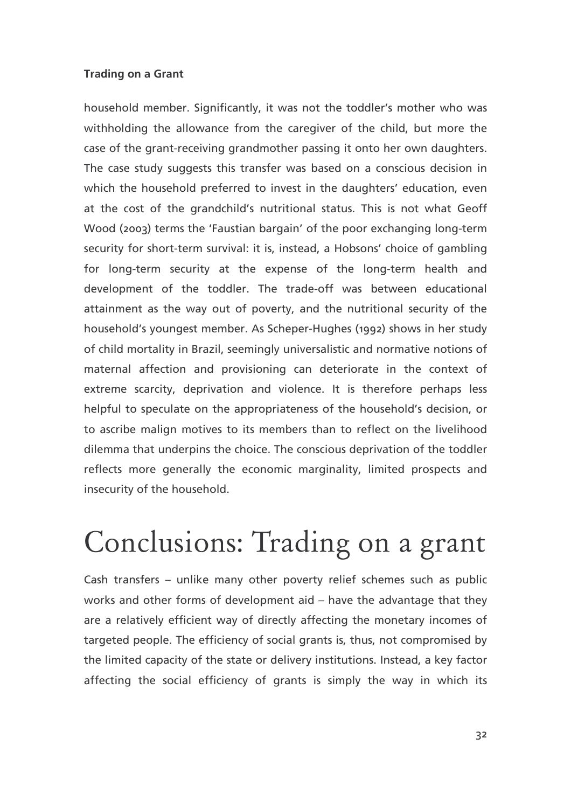household member. Significantly, it was not the toddler's mother who was withholding the allowance from the caregiver of the child, but more the case of the grant-receiving grandmother passing it onto her own daughters. The case study suggests this transfer was based on a conscious decision in which the household preferred to invest in the daughters' education, even at the cost of the grandchild's nutritional status. This is not what Geoff Wood (2003) terms the 'Faustian bargain' of the poor exchanging long-term security for short-term survival: it is, instead, a Hobsons' choice of gambling for long-term security at the expense of the long-term health and development of the toddler. The trade-off was between educational attainment as the way out of poverty, and the nutritional security of the household's youngest member. As Scheper-Hughes (1992) shows in her study of child mortality in Brazil, seemingly universalistic and normative notions of maternal affection and provisioning can deteriorate in the context of extreme scarcity, deprivation and violence. It is therefore perhaps less helpful to speculate on the appropriateness of the household's decision, or to ascribe malign motives to its members than to reflect on the livelihood dilemma that underpins the choice. The conscious deprivation of the toddler reflects more generally the economic marginality, limited prospects and insecurity of the household.

## Conclusions: Trading on a grant

Cash transfers - unlike many other poverty relief schemes such as public works and other forms of development aid - have the advantage that they are a relatively efficient way of directly affecting the monetary incomes of targeted people. The efficiency of social grants is, thus, not compromised by the limited capacity of the state or delivery institutions. Instead, a key factor affecting the social efficiency of grants is simply the way in which its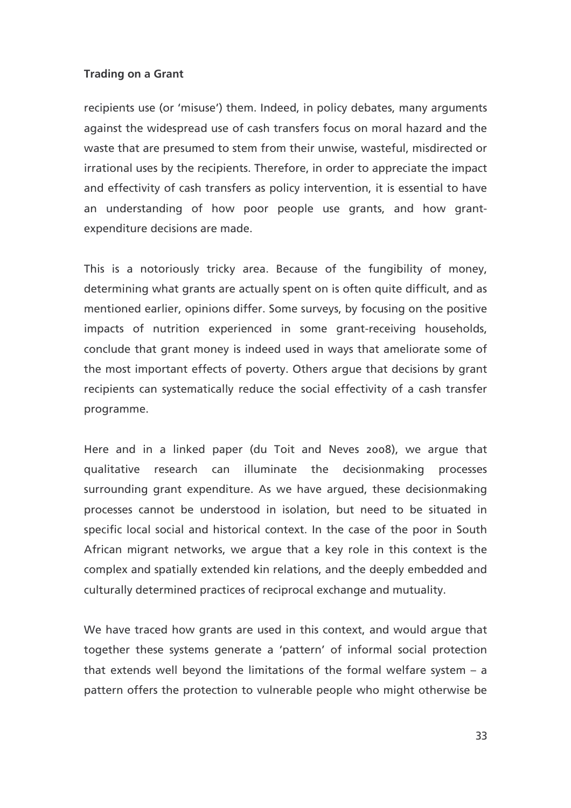recipients use (or 'misuse') them. Indeed, in policy debates, many arguments against the widespread use of cash transfers focus on moral hazard and the waste that are presumed to stem from their unwise, wasteful, misdirected or irrational uses by the recipients. Therefore, in order to appreciate the impact and effectivity of cash transfers as policy intervention, it is essential to have an understanding of how poor people use grants, and how grantexpenditure decisions are made.

This is a notoriously tricky area. Because of the fungibility of money, determining what grants are actually spent on is often quite difficult, and as mentioned earlier, opinions differ. Some surveys, by focusing on the positive impacts of nutrition experienced in some grant-receiving households, conclude that grant money is indeed used in ways that ameliorate some of the most important effects of poverty. Others argue that decisions by grant recipients can systematically reduce the social effectivity of a cash transfer programme.

Here and in a linked paper (du Toit and Neves 2008), we argue that qualitative research can illuminate the decisionmaking processes surrounding grant expenditure. As we have argued, these decisionmaking processes cannot be understood in isolation, but need to be situated in specific local social and historical context. In the case of the poor in South African migrant networks, we argue that a key role in this context is the complex and spatially extended kin relations, and the deeply embedded and culturally determined practices of reciprocal exchange and mutuality.

We have traced how grants are used in this context, and would argue that together these systems generate a 'pattern' of informal social protection that extends well beyond the limitations of the formal welfare system  $- a$ pattern offers the protection to vulnerable people who might otherwise be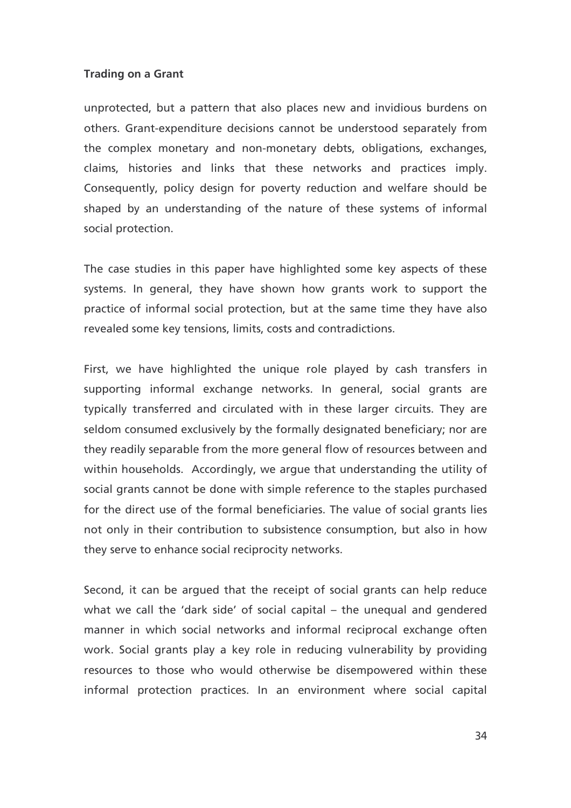unprotected, but a pattern that also places new and invidious burdens on others. Grant-expenditure decisions cannot be understood separately from the complex monetary and non-monetary debts, obligations, exchanges, claims, histories and links that these networks and practices imply. Consequently, policy design for poverty reduction and welfare should be shaped by an understanding of the nature of these systems of informal social protection.

The case studies in this paper have highlighted some key aspects of these systems. In general, they have shown how grants work to support the practice of informal social protection, but at the same time they have also revealed some key tensions, limits, costs and contradictions.

First, we have highlighted the unique role played by cash transfers in supporting informal exchange networks. In general, social grants are typically transferred and circulated with in these larger circuits. They are seldom consumed exclusively by the formally designated beneficiary; nor are they readily separable from the more general flow of resources between and within households. Accordingly, we argue that understanding the utility of social grants cannot be done with simple reference to the staples purchased for the direct use of the formal beneficiaries. The value of social grants lies not only in their contribution to subsistence consumption, but also in how they serve to enhance social reciprocity networks.

Second, it can be argued that the receipt of social grants can help reduce what we call the 'dark side' of social capital - the unequal and gendered manner in which social networks and informal reciprocal exchange often work. Social grants play a key role in reducing vulnerability by providing resources to those who would otherwise be disempowered within these informal protection practices. In an environment where social capital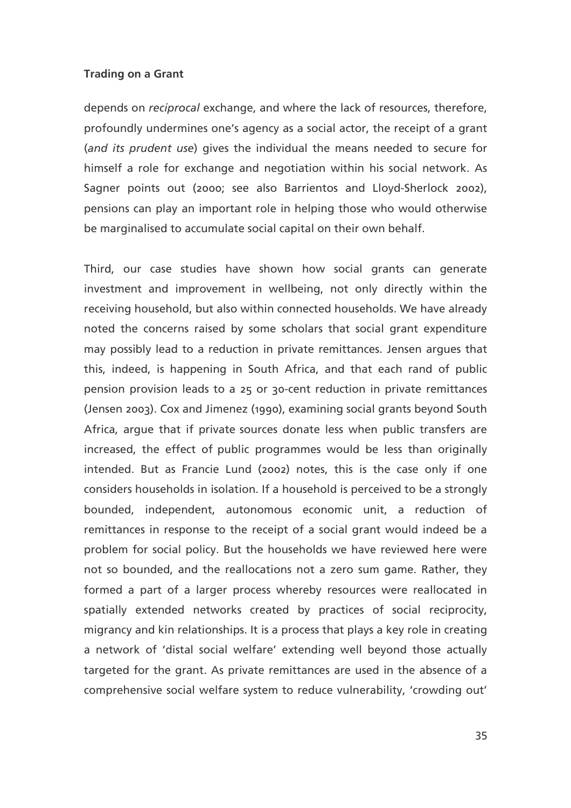depends on *reciprocal* exchange, and where the lack of resources, therefore, profoundly undermines one's agency as a social actor, the receipt of a grant (and its prudent use) gives the individual the means needed to secure for himself a role for exchange and negotiation within his social network. As Sagner points out (2000; see also Barrientos and Lloyd-Sherlock 2002), pensions can play an important role in helping those who would otherwise be marginalised to accumulate social capital on their own behalf.

Third, our case studies have shown how social grants can generate investment and improvement in wellbeing, not only directly within the receiving household, but also within connected households. We have already noted the concerns raised by some scholars that social grant expenditure may possibly lead to a reduction in private remittances. Jensen argues that this, indeed, is happening in South Africa, and that each rand of public pension provision leads to a 25 or 30-cent reduction in private remittances (Jensen 2003). Cox and Jimenez (1990), examining social grants beyond South Africa, argue that if private sources donate less when public transfers are increased, the effect of public programmes would be less than originally intended. But as Francie Lund (2002) notes, this is the case only if one considers households in isolation. If a household is perceived to be a strongly bounded, independent, autonomous economic unit, a reduction of remittances in response to the receipt of a social grant would indeed be a problem for social policy. But the households we have reviewed here were not so bounded, and the reallocations not a zero sum game. Rather, they formed a part of a larger process whereby resources were reallocated in spatially extended networks created by practices of social reciprocity, migrancy and kin relationships. It is a process that plays a key role in creating a network of 'distal social welfare' extending well beyond those actually targeted for the grant. As private remittances are used in the absence of a comprehensive social welfare system to reduce vulnerability, 'crowding out'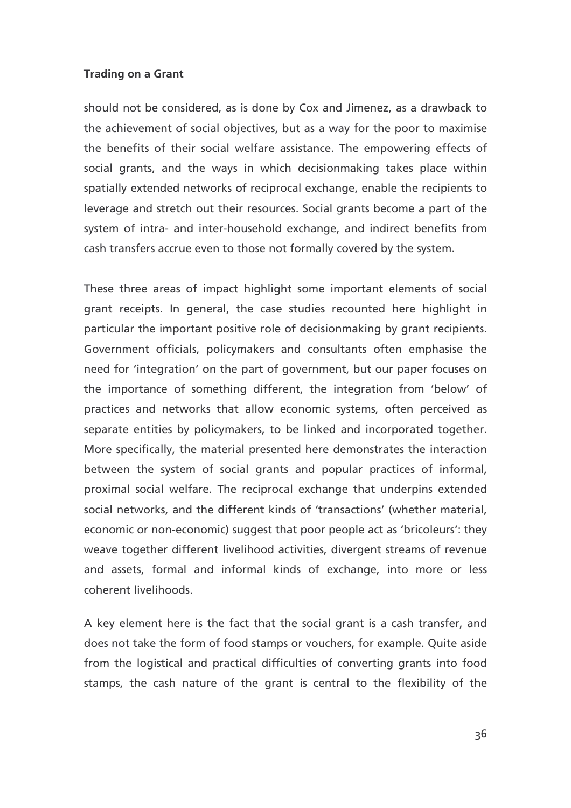should not be considered, as is done by Cox and Jimenez, as a drawback to the achievement of social objectives, but as a way for the poor to maximise the benefits of their social welfare assistance. The empowering effects of social grants, and the ways in which decisionmaking takes place within spatially extended networks of reciprocal exchange, enable the recipients to leverage and stretch out their resources. Social grants become a part of the system of intra- and inter-household exchange, and indirect benefits from cash transfers accrue even to those not formally covered by the system.

These three areas of impact highlight some important elements of social grant receipts. In general, the case studies recounted here highlight in particular the important positive role of decision making by grant recipients. Government officials, policymakers and consultants often emphasise the need for 'integration' on the part of government, but our paper focuses on the importance of something different, the integration from 'below' of practices and networks that allow economic systems, often perceived as separate entities by policymakers, to be linked and incorporated together. More specifically, the material presented here demonstrates the interaction between the system of social grants and popular practices of informal, proximal social welfare. The reciprocal exchange that underpins extended social networks, and the different kinds of 'transactions' (whether material, economic or non-economic) suggest that poor people act as 'bricoleurs': they weave together different livelihood activities, divergent streams of revenue and assets, formal and informal kinds of exchange, into more or less coherent livelihoods.

A key element here is the fact that the social grant is a cash transfer, and does not take the form of food stamps or vouchers, for example. Quite aside from the logistical and practical difficulties of converting grants into food stamps, the cash nature of the grant is central to the flexibility of the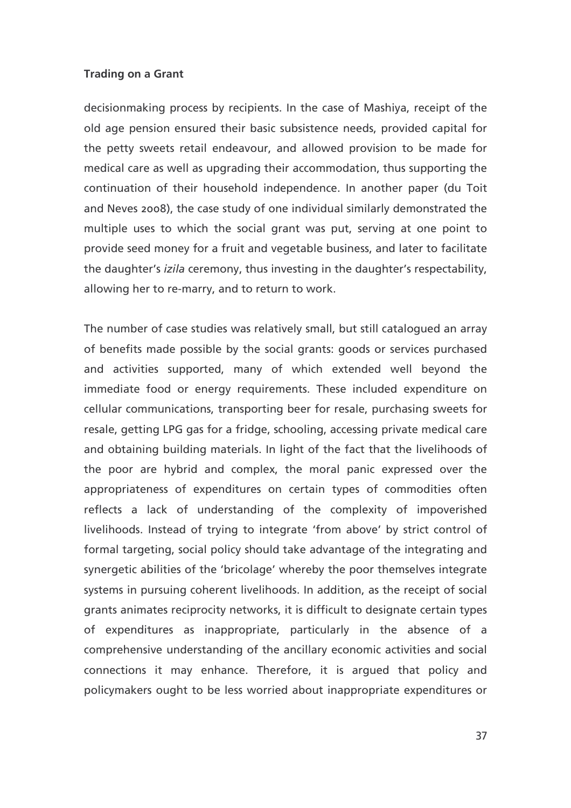decisionmaking process by recipients. In the case of Mashiya, receipt of the old age pension ensured their basic subsistence needs, provided capital for the petty sweets retail endeavour, and allowed provision to be made for medical care as well as upgrading their accommodation, thus supporting the continuation of their household independence. In another paper (du Toit and Neves 2008), the case study of one individual similarly demonstrated the multiple uses to which the social grant was put, serving at one point to provide seed money for a fruit and vegetable business, and later to facilitate the daughter's *izila* ceremony, thus investing in the daughter's respectability, allowing her to re-marry, and to return to work.

The number of case studies was relatively small, but still catalogued an array of benefits made possible by the social grants: goods or services purchased and activities supported, many of which extended well beyond the immediate food or energy requirements. These included expenditure on cellular communications, transporting beer for resale, purchasing sweets for resale, getting LPG gas for a fridge, schooling, accessing private medical care and obtaining building materials. In light of the fact that the livelihoods of the poor are hybrid and complex, the moral panic expressed over the appropriateness of expenditures on certain types of commodities often reflects a lack of understanding of the complexity of impoverished livelihoods. Instead of trying to integrate 'from above' by strict control of formal targeting, social policy should take advantage of the integrating and synergetic abilities of the 'bricolage' whereby the poor themselves integrate systems in pursuing coherent livelihoods. In addition, as the receipt of social grants animates reciprocity networks, it is difficult to designate certain types of expenditures as inappropriate, particularly in the absence of a comprehensive understanding of the ancillary economic activities and social connections it may enhance. Therefore, it is argued that policy and policymakers ought to be less worried about inappropriate expenditures or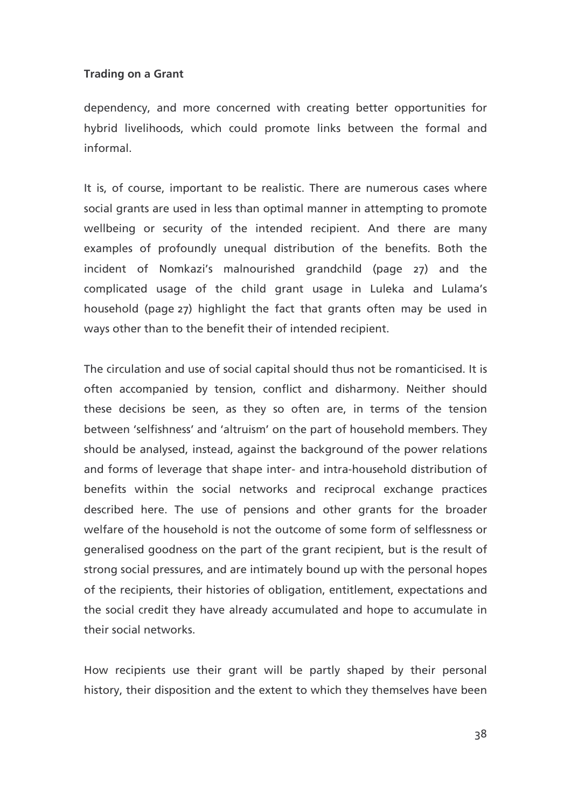dependency, and more concerned with creating better opportunities for hybrid livelihoods, which could promote links between the formal and informal

It is, of course, important to be realistic. There are numerous cases where social grants are used in less than optimal manner in attempting to promote wellbeing or security of the intended recipient. And there are many examples of profoundly unequal distribution of the benefits. Both the incident of Nomkazi's malnourished grandchild (page 27) and the complicated usage of the child grant usage in Luleka and Lulama's household (page 27) highlight the fact that grants often may be used in ways other than to the benefit their of intended recipient.

The circulation and use of social capital should thus not be romanticised. It is often accompanied by tension, conflict and disharmony. Neither should these decisions be seen, as they so often are, in terms of the tension between 'selfishness' and 'altruism' on the part of household members. They should be analysed, instead, against the background of the power relations and forms of leverage that shape inter- and intra-household distribution of benefits within the social networks and reciprocal exchange practices described here. The use of pensions and other grants for the broader welfare of the household is not the outcome of some form of selflessness or generalised goodness on the part of the grant recipient, but is the result of strong social pressures, and are intimately bound up with the personal hopes of the recipients, their histories of obligation, entitlement, expectations and the social credit they have already accumulated and hope to accumulate in their social networks.

How recipients use their grant will be partly shaped by their personal history, their disposition and the extent to which they themselves have been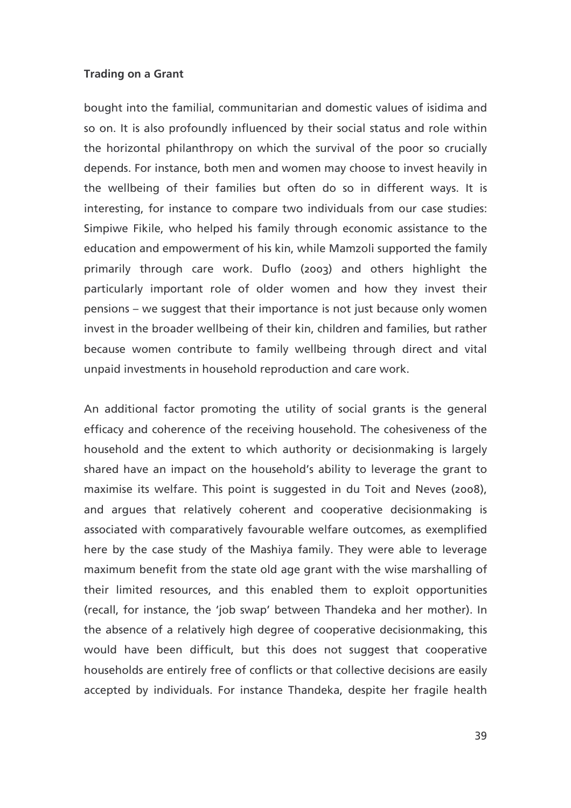bought into the familial, communitarian and domestic values of isidima and so on. It is also profoundly influenced by their social status and role within the horizontal philanthropy on which the survival of the poor so crucially depends. For instance, both men and women may choose to invest heavily in the wellbeing of their families but often do so in different ways. It is interesting, for instance to compare two individuals from our case studies: Simpiwe Fikile, who helped his family through economic assistance to the education and empowerment of his kin, while Mamzoli supported the family primarily through care work. Duflo (2003) and others highlight the particularly important role of older women and how they invest their pensions – we suggest that their importance is not just because only women invest in the broader wellbeing of their kin, children and families, but rather because women contribute to family wellbeing through direct and vital unpaid investments in household reproduction and care work.

An additional factor promoting the utility of social grants is the general efficacy and coherence of the receiving household. The cohesiveness of the household and the extent to which authority or decisionmaking is largely shared have an impact on the household's ability to leverage the grant to maximise its welfare. This point is suggested in du Toit and Neves (2008), and argues that relatively coherent and cooperative decisionmaking is associated with comparatively favourable welfare outcomes, as exemplified here by the case study of the Mashiya family. They were able to leverage maximum benefit from the state old age grant with the wise marshalling of their limited resources, and this enabled them to exploit opportunities (recall, for instance, the 'job swap' between Thandeka and her mother). In the absence of a relatively high degree of cooperative decisionmaking, this would have been difficult, but this does not suggest that cooperative households are entirely free of conflicts or that collective decisions are easily accepted by individuals. For instance Thandeka, despite her fragile health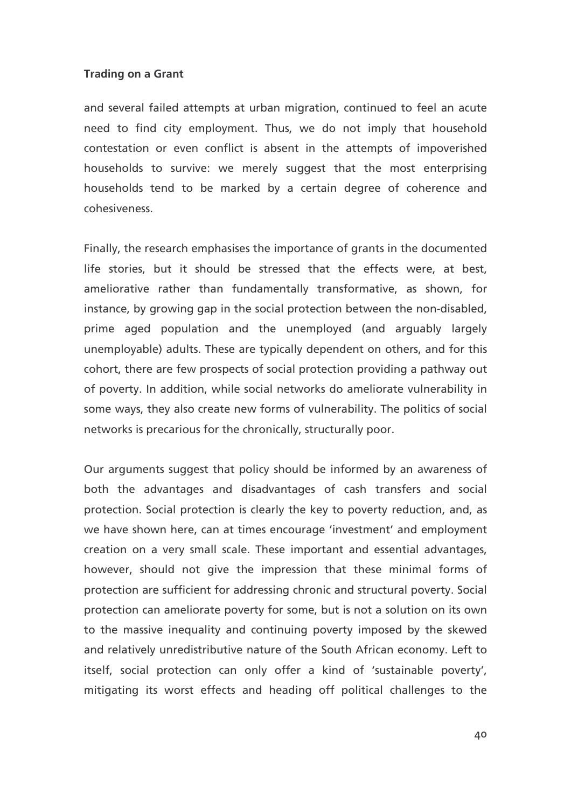and several failed attempts at urban migration, continued to feel an acute need to find city employment. Thus, we do not imply that household contestation or even conflict is absent in the attempts of impoverished households to survive: we merely suggest that the most enterprising households tend to be marked by a certain degree of coherence and cohesiveness.

Finally, the research emphasises the importance of grants in the documented life stories, but it should be stressed that the effects were, at best, ameliorative rather than fundamentally transformative, as shown, for instance, by growing gap in the social protection between the non-disabled, prime aged population and the unemployed (and arguably largely unemployable) adults. These are typically dependent on others, and for this cohort, there are few prospects of social protection providing a pathway out of poverty. In addition, while social networks do ameliorate vulnerability in some ways, they also create new forms of vulnerability. The politics of social networks is precarious for the chronically, structurally poor.

Our arguments suggest that policy should be informed by an awareness of both the advantages and disadvantages of cash transfers and social protection. Social protection is clearly the key to poverty reduction, and, as we have shown here, can at times encourage 'investment' and employment creation on a very small scale. These important and essential advantages, however, should not give the impression that these minimal forms of protection are sufficient for addressing chronic and structural poverty. Social protection can ameliorate poverty for some, but is not a solution on its own to the massive inequality and continuing poverty imposed by the skewed and relatively unredistributive nature of the South African economy. Left to itself, social protection can only offer a kind of 'sustainable poverty', mitigating its worst effects and heading off political challenges to the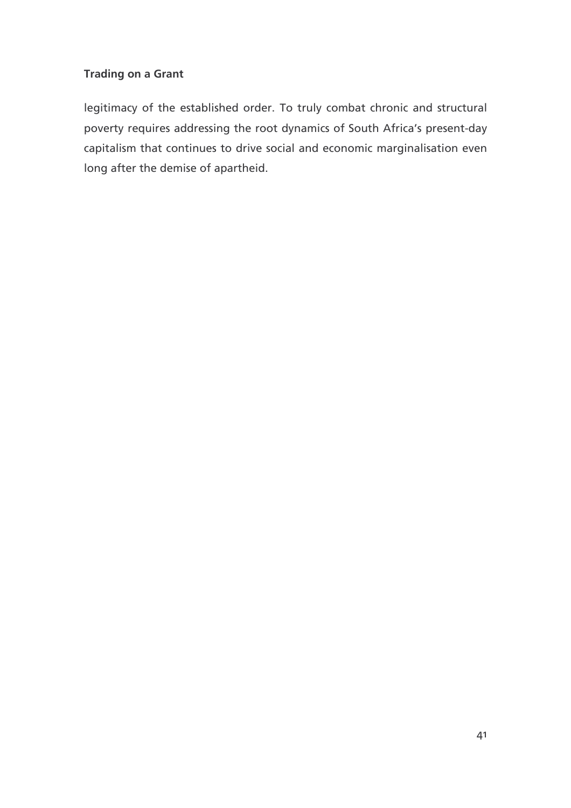legitimacy of the established order. To truly combat chronic and structural poverty requires addressing the root dynamics of South Africa's present-day capitalism that continues to drive social and economic marginalisation even long after the demise of apartheid.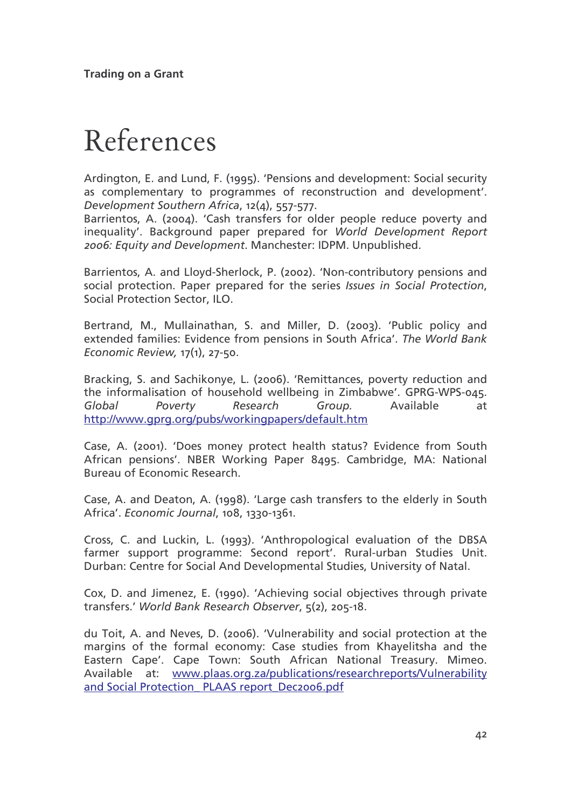## References

Ardington, E. and Lund, F. (1995). 'Pensions and development: Social security as complementary to programmes of reconstruction and development'. Development Southern Africa, 12(4), 557-577.

Barrientos, A. (2004). 'Cash transfers for older people reduce poverty and inequality'. Background paper prepared for World Development Report 2006: Equity and Development. Manchester: IDPM. Unpublished.

Barrientos, A. and Lloyd-Sherlock, P. (2002). 'Non-contributory pensions and social protection. Paper prepared for the series Issues in Social Protection, Social Protection Sector, ILO.

Bertrand, M., Mullainathan, S. and Miller, D. (2003). 'Public policy and extended families: Evidence from pensions in South Africa'. The World Bank Economic Review, 17(1), 27-50.

Bracking, S. and Sachikonye, L. (2006). 'Remittances, poverty reduction and the informalisation of household wellbeing in Zimbabwe'. GPRG-WPS-045. Available Global Poverty Research Group. at http://www.gprg.org/pubs/workingpapers/default.htm

Case, A. (2001). 'Does money protect health status? Evidence from South African pensions'. NBER Working Paper 8495. Cambridge, MA: National Bureau of Economic Research.

Case, A. and Deaton, A. (1998). 'Large cash transfers to the elderly in South Africa'. Economic Journal, 108, 1330-1361.

Cross, C. and Luckin, L. (1993). 'Anthropological evaluation of the DBSA farmer support programme: Second report'. Rural-urban Studies Unit. Durban: Centre for Social And Developmental Studies, University of Natal.

Cox, D. and Jimenez, E. (1990). 'Achieving social objectives through private transfers.' World Bank Research Observer, 5(2), 205-18.

du Toit, A. and Neves, D. (2006). 'Vulnerability and social protection at the margins of the formal economy: Case studies from Khayelitsha and the Eastern Cape'. Cape Town: South African National Treasury. Mimeo. Available at: www.plaas.org.za/publications/researchreports/Vulnerability and Social Protection PLAAS report Dec2006.pdf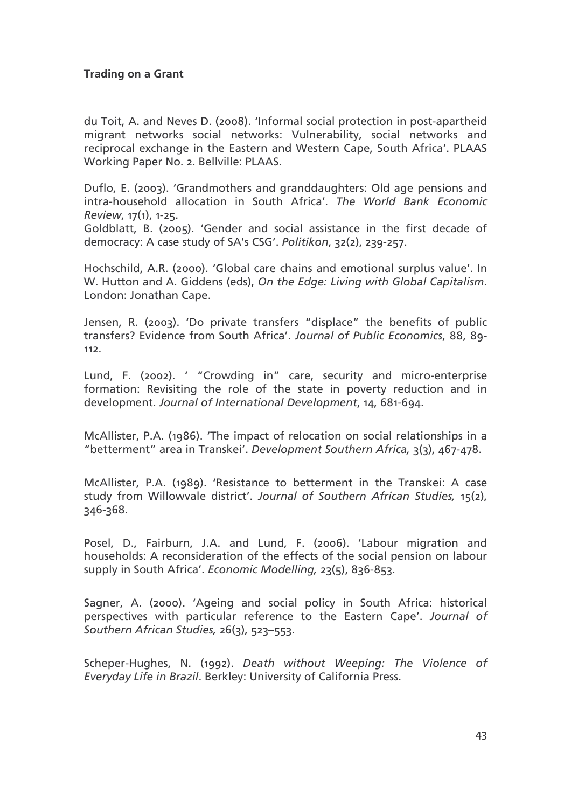du Toit, A. and Neves D. (2008). 'Informal social protection in post-apartheid migrant networks social networks: Vulnerability, social networks and reciprocal exchange in the Eastern and Western Cape, South Africa'. PLAAS Working Paper No. 2. Bellville: PLAAS.

Duflo, E. (2003). 'Grandmothers and granddaughters: Old age pensions and intra-household allocation in South Africa'. The World Bank Economic Review, 17(1), 1-25.

Goldblatt, B. (2005). 'Gender and social assistance in the first decade of democracy: A case study of SA's CSG'. Politikon, 32(2), 239-257.

Hochschild, A.R. (2000). 'Global care chains and emotional surplus value'. In W. Hutton and A. Giddens (eds), On the Edge: Living with Global Capitalism. London: Jonathan Cape.

Jensen, R. (2003). 'Do private transfers "displace" the benefits of public transfers? Evidence from South Africa'. Journal of Public Economics, 88, 89- $112.$ 

Lund, F. (2002). ' "Crowding in" care, security and micro-enterprise formation: Revisiting the role of the state in poverty reduction and in development. Journal of International Development, 14, 681-694.

McAllister, P.A. (1986). 'The impact of relocation on social relationships in a "betterment" area in Transkei'. Development Southern Africa, 3(3), 467-478.

McAllister, P.A. (1989). 'Resistance to betterment in the Transkei: A case study from Willowvale district'. Journal of Southern African Studies, 15(2),  $346 - 368$ .

Posel, D., Fairburn, J.A. and Lund, F. (2006). 'Labour migration and households: A reconsideration of the effects of the social pension on labour supply in South Africa'. Economic Modelling, 23(5), 836-853.

Sagner, A. (2000). 'Ageing and social policy in South Africa: historical perspectives with particular reference to the Eastern Cape', Journal of Southern African Studies, 26(3), 523-553.

Scheper-Hughes, N. (1992). Death without Weeping: The Violence of Everyday Life in Brazil. Berkley: University of California Press.